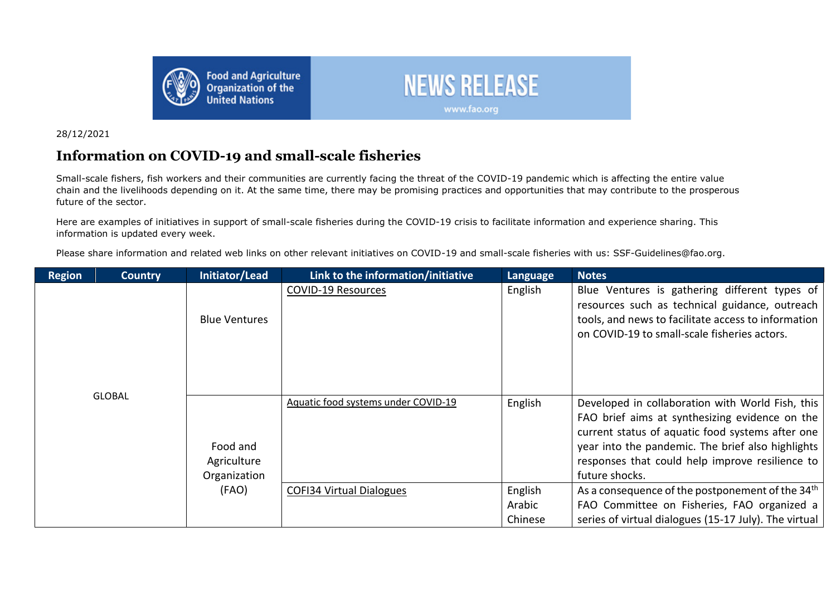



## 28/12/2021

## **Information on COVID-19 and small-scale fisheries**

Small-scale fishers, fish workers and their communities are currently facing the threat of the COVID-19 pandemic which is affecting the entire value chain and the livelihoods depending on it. At the same time, there may be promising practices and opportunities that may contribute to the prosperous future of the sector.

Here are examples of initiatives in support of small-scale fisheries during the COVID-19 crisis to facilitate information and experience sharing. This information is updated every week.

Please share information and related web links on other relevant initiatives on COVID-19 and small-scale fisheries with us: SSF-Guidelines@fao.org.

| <b>Region</b> | <b>Country</b>                          | Initiator/Lead                      | Link to the information/initiative | Language                                                                                                                                                                                                                                                                         | <b>Notes</b>                                                                                                |
|---------------|-----------------------------------------|-------------------------------------|------------------------------------|----------------------------------------------------------------------------------------------------------------------------------------------------------------------------------------------------------------------------------------------------------------------------------|-------------------------------------------------------------------------------------------------------------|
| <b>GLOBAL</b> | <b>Blue Ventures</b>                    | <b>COVID-19 Resources</b>           | English                            | Blue Ventures is gathering different types of<br>resources such as technical guidance, outreach<br>tools, and news to facilitate access to information<br>on COVID-19 to small-scale fisheries actors.                                                                           |                                                                                                             |
|               | Food and<br>Agriculture<br>Organization | Aquatic food systems under COVID-19 | English                            | Developed in collaboration with World Fish, this<br>FAO brief aims at synthesizing evidence on the<br>current status of aquatic food systems after one<br>year into the pandemic. The brief also highlights<br>responses that could help improve resilience to<br>future shocks. |                                                                                                             |
|               |                                         | (FAO)                               | <b>COFI34 Virtual Dialogues</b>    | English<br>Arabic                                                                                                                                                                                                                                                                | As a consequence of the postponement of the 34 <sup>th</sup><br>FAO Committee on Fisheries, FAO organized a |
|               |                                         |                                     |                                    | Chinese                                                                                                                                                                                                                                                                          | series of virtual dialogues (15-17 July). The virtual                                                       |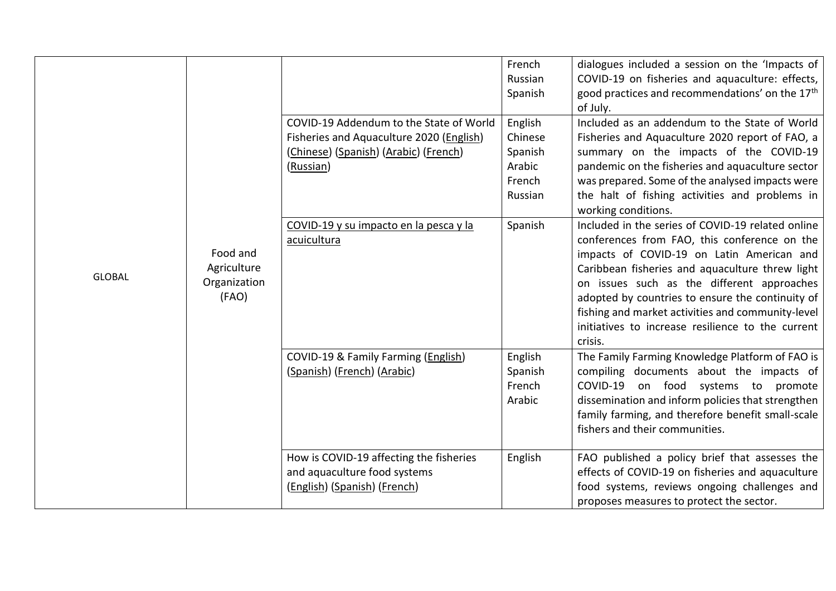|               | Food and<br>Agriculture<br>Organization<br>(FAO) |                                                                                                                                           | French<br>Russian<br>Spanish                                 | dialogues included a session on the 'Impacts of<br>COVID-19 on fisheries and aquaculture: effects,<br>good practices and recommendations' on the 17 <sup>th</sup><br>of July.                                                                                                                                                                                                                                            |
|---------------|--------------------------------------------------|-------------------------------------------------------------------------------------------------------------------------------------------|--------------------------------------------------------------|--------------------------------------------------------------------------------------------------------------------------------------------------------------------------------------------------------------------------------------------------------------------------------------------------------------------------------------------------------------------------------------------------------------------------|
|               |                                                  | COVID-19 Addendum to the State of World<br>Fisheries and Aquaculture 2020 (English)<br>(Chinese) (Spanish) (Arabic) (French)<br>(Russian) | English<br>Chinese<br>Spanish<br>Arabic<br>French<br>Russian | Included as an addendum to the State of World<br>Fisheries and Aquaculture 2020 report of FAO, a<br>summary on the impacts of the COVID-19<br>pandemic on the fisheries and aquaculture sector<br>was prepared. Some of the analysed impacts were<br>the halt of fishing activities and problems in<br>working conditions.                                                                                               |
| <b>GLOBAL</b> |                                                  | COVID-19 y su impacto en la pesca y la<br>acuicultura                                                                                     | Spanish                                                      | Included in the series of COVID-19 related online<br>conferences from FAO, this conference on the<br>impacts of COVID-19 on Latin American and<br>Caribbean fisheries and aquaculture threw light<br>on issues such as the different approaches<br>adopted by countries to ensure the continuity of<br>fishing and market activities and community-level<br>initiatives to increase resilience to the current<br>crisis. |
|               |                                                  | COVID-19 & Family Farming (English)<br>(Spanish) (French) (Arabic)                                                                        | English<br>Spanish<br>French<br>Arabic                       | The Family Farming Knowledge Platform of FAO is<br>compiling documents about the impacts of<br>COVID-19 on food systems to promote<br>dissemination and inform policies that strengthen<br>family farming, and therefore benefit small-scale<br>fishers and their communities.                                                                                                                                           |
|               |                                                  | How is COVID-19 affecting the fisheries<br>and aquaculture food systems<br>(English) (Spanish) (French)                                   | English                                                      | FAO published a policy brief that assesses the<br>effects of COVID-19 on fisheries and aquaculture<br>food systems, reviews ongoing challenges and<br>proposes measures to protect the sector.                                                                                                                                                                                                                           |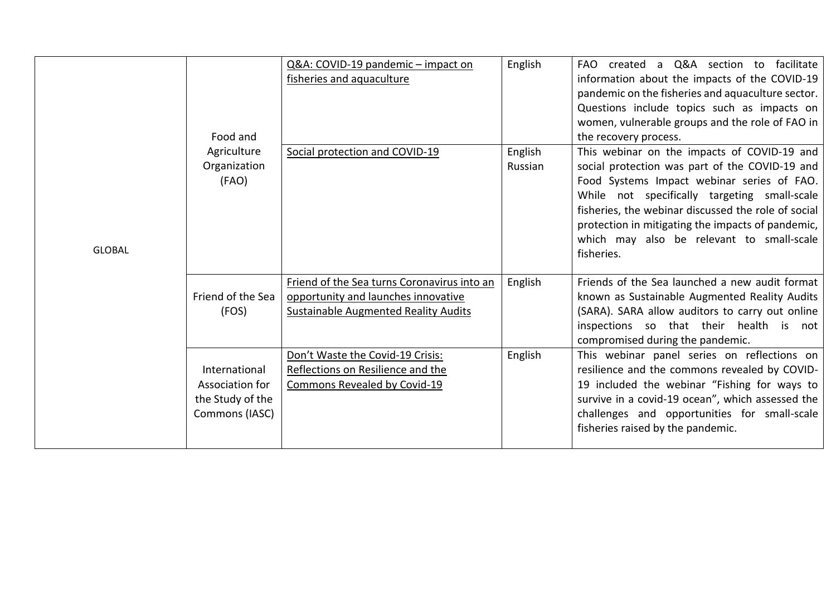|               | Food and<br>Agriculture<br>Organization<br>(FAO)                       | Q&A: COVID-19 pandemic - impact on<br>fisheries and aquaculture<br>Social protection and COVID-19                                 | English<br>English<br>Russian | FAO created a Q&A section to facilitate<br>information about the impacts of the COVID-19<br>pandemic on the fisheries and aquaculture sector.<br>Questions include topics such as impacts on<br>women, vulnerable groups and the role of FAO in<br>the recovery process.<br>This webinar on the impacts of COVID-19 and<br>social protection was part of the COVID-19 and<br>Food Systems Impact webinar series of FAO.<br>While not specifically targeting small-scale<br>fisheries, the webinar discussed the role of social<br>protection in mitigating the impacts of pandemic, |
|---------------|------------------------------------------------------------------------|-----------------------------------------------------------------------------------------------------------------------------------|-------------------------------|-------------------------------------------------------------------------------------------------------------------------------------------------------------------------------------------------------------------------------------------------------------------------------------------------------------------------------------------------------------------------------------------------------------------------------------------------------------------------------------------------------------------------------------------------------------------------------------|
| <b>GLOBAL</b> |                                                                        |                                                                                                                                   |                               | which may also be relevant to small-scale<br>fisheries.                                                                                                                                                                                                                                                                                                                                                                                                                                                                                                                             |
|               | Friend of the Sea<br>(FOS)                                             | Friend of the Sea turns Coronavirus into an<br>opportunity and launches innovative<br><b>Sustainable Augmented Reality Audits</b> | English                       | Friends of the Sea launched a new audit format<br>known as Sustainable Augmented Reality Audits<br>(SARA). SARA allow auditors to carry out online<br>inspections so that their health is not<br>compromised during the pandemic.                                                                                                                                                                                                                                                                                                                                                   |
|               | International<br>Association for<br>the Study of the<br>Commons (IASC) | Don't Waste the Covid-19 Crisis:<br>Reflections on Resilience and the<br>Commons Revealed by Covid-19                             | English                       | This webinar panel series on reflections on<br>resilience and the commons revealed by COVID-<br>19 included the webinar "Fishing for ways to<br>survive in a covid-19 ocean", which assessed the<br>challenges and opportunities for small-scale<br>fisheries raised by the pandemic.                                                                                                                                                                                                                                                                                               |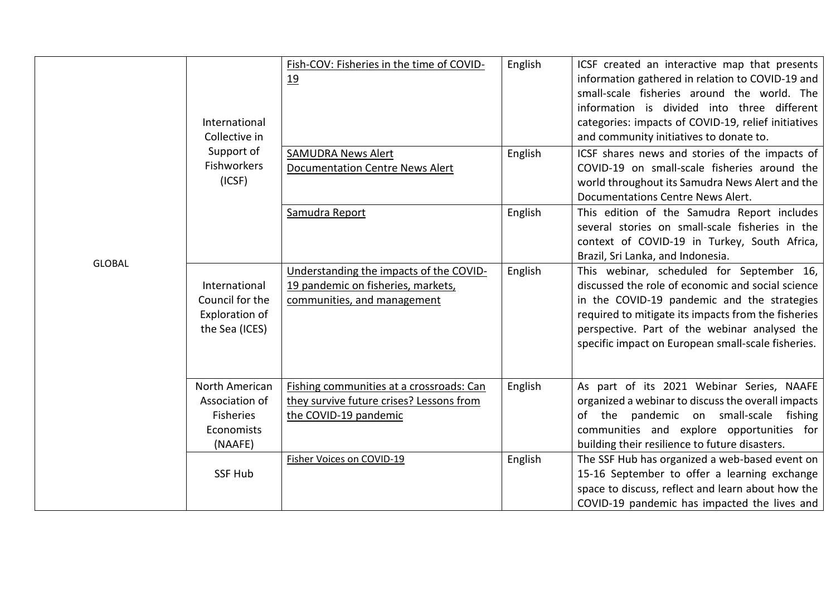|               | International<br>Collective in                                                | Fish-COV: Fisheries in the time of COVID-<br>19                                                               | English | ICSF created an interactive map that presents<br>information gathered in relation to COVID-19 and<br>small-scale fisheries around the world. The<br>information is divided into three different<br>categories: impacts of COVID-19, relief initiatives<br>and community initiatives to donate to.           |
|---------------|-------------------------------------------------------------------------------|---------------------------------------------------------------------------------------------------------------|---------|-------------------------------------------------------------------------------------------------------------------------------------------------------------------------------------------------------------------------------------------------------------------------------------------------------------|
|               | Support of<br><b>Fishworkers</b><br>(ICSF)                                    | <b>SAMUDRA News Alert</b><br><b>Documentation Centre News Alert</b>                                           | English | ICSF shares news and stories of the impacts of<br>COVID-19 on small-scale fisheries around the<br>world throughout its Samudra News Alert and the<br>Documentations Centre News Alert.                                                                                                                      |
| <b>GLOBAL</b> |                                                                               | Samudra Report                                                                                                | English | This edition of the Samudra Report includes<br>several stories on small-scale fisheries in the<br>context of COVID-19 in Turkey, South Africa,<br>Brazil, Sri Lanka, and Indonesia.                                                                                                                         |
|               | International<br>Council for the<br>Exploration of<br>the Sea (ICES)          | Understanding the impacts of the COVID-<br>19 pandemic on fisheries, markets,<br>communities, and management  | English | This webinar, scheduled for September 16,<br>discussed the role of economic and social science<br>in the COVID-19 pandemic and the strategies<br>required to mitigate its impacts from the fisheries<br>perspective. Part of the webinar analysed the<br>specific impact on European small-scale fisheries. |
|               | North American<br>Association of<br><b>Fisheries</b><br>Economists<br>(NAAFE) | Fishing communities at a crossroads: Can<br>they survive future crises? Lessons from<br>the COVID-19 pandemic | English | As part of its 2021 Webinar Series, NAAFE<br>organized a webinar to discuss the overall impacts<br>of the pandemic on small-scale fishing<br>communities and explore opportunities for<br>building their resilience to future disasters.                                                                    |
|               | <b>SSF Hub</b>                                                                | Fisher Voices on COVID-19                                                                                     | English | The SSF Hub has organized a web-based event on<br>15-16 September to offer a learning exchange<br>space to discuss, reflect and learn about how the<br>COVID-19 pandemic has impacted the lives and                                                                                                         |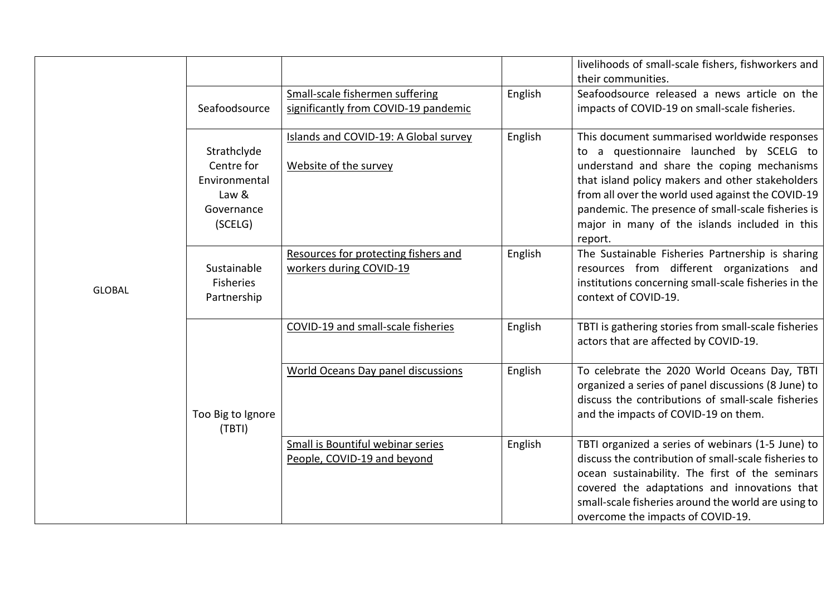|               |                                                                              |                                                                         |         | livelihoods of small-scale fishers, fishworkers and<br>their communities.                                                                                                                                                                                                                                                                                        |
|---------------|------------------------------------------------------------------------------|-------------------------------------------------------------------------|---------|------------------------------------------------------------------------------------------------------------------------------------------------------------------------------------------------------------------------------------------------------------------------------------------------------------------------------------------------------------------|
|               | Seafoodsource                                                                | Small-scale fishermen suffering<br>significantly from COVID-19 pandemic | English | Seafoodsource released a news article on the<br>impacts of COVID-19 on small-scale fisheries.                                                                                                                                                                                                                                                                    |
|               | Strathclyde<br>Centre for<br>Environmental<br>Law &<br>Governance<br>(SCELG) | Islands and COVID-19: A Global survey<br>Website of the survey          | English | This document summarised worldwide responses<br>to a questionnaire launched by SCELG to<br>understand and share the coping mechanisms<br>that island policy makers and other stakeholders<br>from all over the world used against the COVID-19<br>pandemic. The presence of small-scale fisheries is<br>major in many of the islands included in this<br>report. |
| <b>GLOBAL</b> | Sustainable<br><b>Fisheries</b><br>Partnership                               | Resources for protecting fishers and<br>workers during COVID-19         | English | The Sustainable Fisheries Partnership is sharing<br>resources from different organizations and<br>institutions concerning small-scale fisheries in the<br>context of COVID-19.                                                                                                                                                                                   |
|               |                                                                              | COVID-19 and small-scale fisheries                                      | English | TBTI is gathering stories from small-scale fisheries<br>actors that are affected by COVID-19.                                                                                                                                                                                                                                                                    |
|               | Too Big to Ignore<br>(TBTI)                                                  | <b>World Oceans Day panel discussions</b>                               | English | To celebrate the 2020 World Oceans Day, TBTI<br>organized a series of panel discussions (8 June) to<br>discuss the contributions of small-scale fisheries<br>and the impacts of COVID-19 on them.                                                                                                                                                                |
|               |                                                                              | Small is Bountiful webinar series<br>People, COVID-19 and beyond        | English | TBTI organized a series of webinars (1-5 June) to<br>discuss the contribution of small-scale fisheries to<br>ocean sustainability. The first of the seminars<br>covered the adaptations and innovations that<br>small-scale fisheries around the world are using to<br>overcome the impacts of COVID-19.                                                         |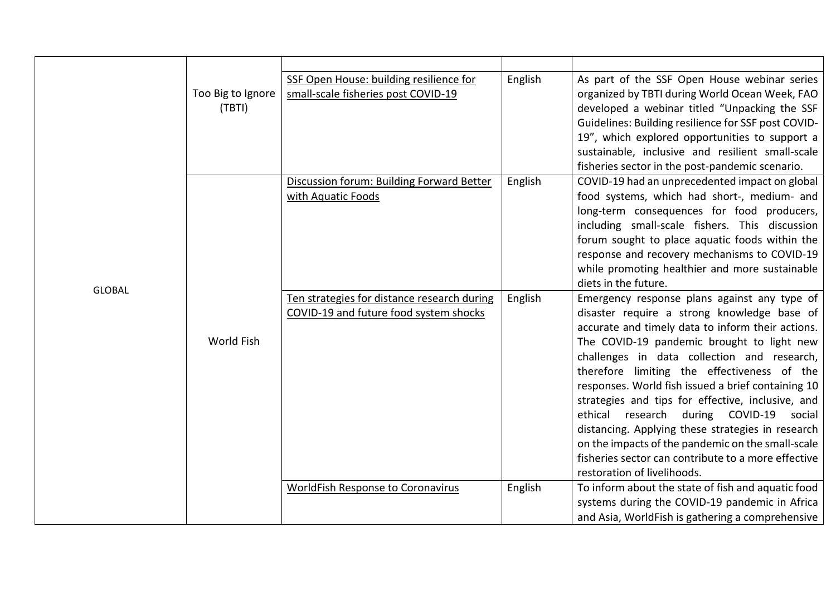|               | Too Big to Ignore<br>(TBTI) | SSF Open House: building resilience for<br>small-scale fisheries post COVID-19        | English | As part of the SSF Open House webinar series<br>organized by TBTI during World Ocean Week, FAO<br>developed a webinar titled "Unpacking the SSF<br>Guidelines: Building resilience for SSF post COVID-<br>19", which explored opportunities to support a                                                                                                                                                                                           |
|---------------|-----------------------------|---------------------------------------------------------------------------------------|---------|----------------------------------------------------------------------------------------------------------------------------------------------------------------------------------------------------------------------------------------------------------------------------------------------------------------------------------------------------------------------------------------------------------------------------------------------------|
|               |                             | Discussion forum: Building Forward Better<br>with Aquatic Foods                       | English | sustainable, inclusive and resilient small-scale<br>fisheries sector in the post-pandemic scenario.<br>COVID-19 had an unprecedented impact on global<br>food systems, which had short-, medium- and                                                                                                                                                                                                                                               |
| <b>GLOBAL</b> | World Fish                  |                                                                                       |         | long-term consequences for food producers,<br>including small-scale fishers. This discussion<br>forum sought to place aquatic foods within the<br>response and recovery mechanisms to COVID-19<br>while promoting healthier and more sustainable<br>diets in the future.                                                                                                                                                                           |
|               |                             | Ten strategies for distance research during<br>COVID-19 and future food system shocks | English | Emergency response plans against any type of<br>disaster require a strong knowledge base of<br>accurate and timely data to inform their actions.<br>The COVID-19 pandemic brought to light new<br>challenges in data collection and research,<br>therefore limiting the effectiveness of the<br>responses. World fish issued a brief containing 10<br>strategies and tips for effective, inclusive, and<br>ethical research during COVID-19 social |
|               |                             |                                                                                       |         | distancing. Applying these strategies in research<br>on the impacts of the pandemic on the small-scale<br>fisheries sector can contribute to a more effective<br>restoration of livelihoods.                                                                                                                                                                                                                                                       |
|               |                             | <b>WorldFish Response to Coronavirus</b>                                              | English | To inform about the state of fish and aquatic food<br>systems during the COVID-19 pandemic in Africa<br>and Asia, WorldFish is gathering a comprehensive                                                                                                                                                                                                                                                                                           |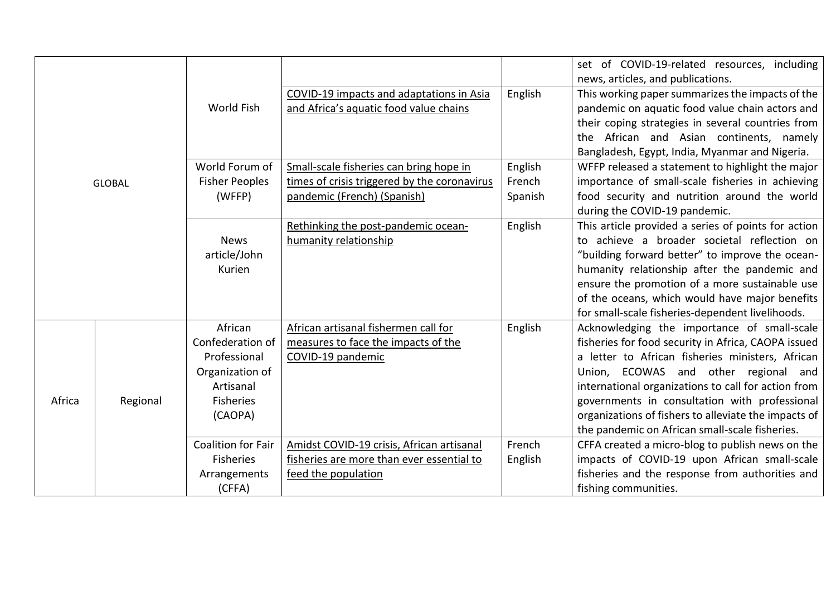|        |               |                           |                                                              |         | set of COVID-19-related resources, including<br>news, articles, and publications.                  |
|--------|---------------|---------------------------|--------------------------------------------------------------|---------|----------------------------------------------------------------------------------------------------|
|        |               |                           | COVID-19 impacts and adaptations in Asia                     | English | This working paper summarizes the impacts of the                                                   |
|        |               | World Fish                | and Africa's aquatic food value chains                       |         | pandemic on aquatic food value chain actors and                                                    |
|        |               |                           |                                                              |         | their coping strategies in several countries from                                                  |
|        |               |                           |                                                              |         | the African and Asian continents, namely                                                           |
|        |               |                           |                                                              |         | Bangladesh, Egypt, India, Myanmar and Nigeria.                                                     |
|        |               | World Forum of            | Small-scale fisheries can bring hope in                      | English | WFFP released a statement to highlight the major                                                   |
|        | <b>GLOBAL</b> | <b>Fisher Peoples</b>     | times of crisis triggered by the coronavirus                 | French  | importance of small-scale fisheries in achieving                                                   |
|        |               | (WFFP)                    | pandemic (French) (Spanish)                                  | Spanish | food security and nutrition around the world                                                       |
|        |               |                           |                                                              |         | during the COVID-19 pandemic.                                                                      |
|        |               | <b>News</b>               | Rethinking the post-pandemic ocean-<br>humanity relationship | English | This article provided a series of points for action<br>to achieve a broader societal reflection on |
|        |               | article/John              |                                                              |         | "building forward better" to improve the ocean-                                                    |
|        |               | Kurien                    |                                                              |         | humanity relationship after the pandemic and                                                       |
|        |               |                           |                                                              |         | ensure the promotion of a more sustainable use                                                     |
|        |               |                           |                                                              |         | of the oceans, which would have major benefits                                                     |
|        |               |                           |                                                              |         | for small-scale fisheries-dependent livelihoods.                                                   |
|        |               | African                   | African artisanal fishermen call for                         | English | Acknowledging the importance of small-scale                                                        |
|        |               | Confederation of          | measures to face the impacts of the                          |         | fisheries for food security in Africa, CAOPA issued                                                |
|        |               | Professional              | COVID-19 pandemic                                            |         | a letter to African fisheries ministers, African                                                   |
|        |               | Organization of           |                                                              |         | Union, ECOWAS and other regional and                                                               |
|        |               | Artisanal                 |                                                              |         | international organizations to call for action from                                                |
| Africa | Regional      | <b>Fisheries</b>          |                                                              |         | governments in consultation with professional                                                      |
|        |               | (CAOPA)                   |                                                              |         | organizations of fishers to alleviate the impacts of                                               |
|        |               |                           |                                                              |         | the pandemic on African small-scale fisheries.                                                     |
|        |               | <b>Coalition for Fair</b> | Amidst COVID-19 crisis, African artisanal                    | French  | CFFA created a micro-blog to publish news on the                                                   |
|        |               | <b>Fisheries</b>          | fisheries are more than ever essential to                    | English | impacts of COVID-19 upon African small-scale                                                       |
|        |               | Arrangements              | feed the population                                          |         | fisheries and the response from authorities and                                                    |
|        |               | (CFFA)                    |                                                              |         | fishing communities.                                                                               |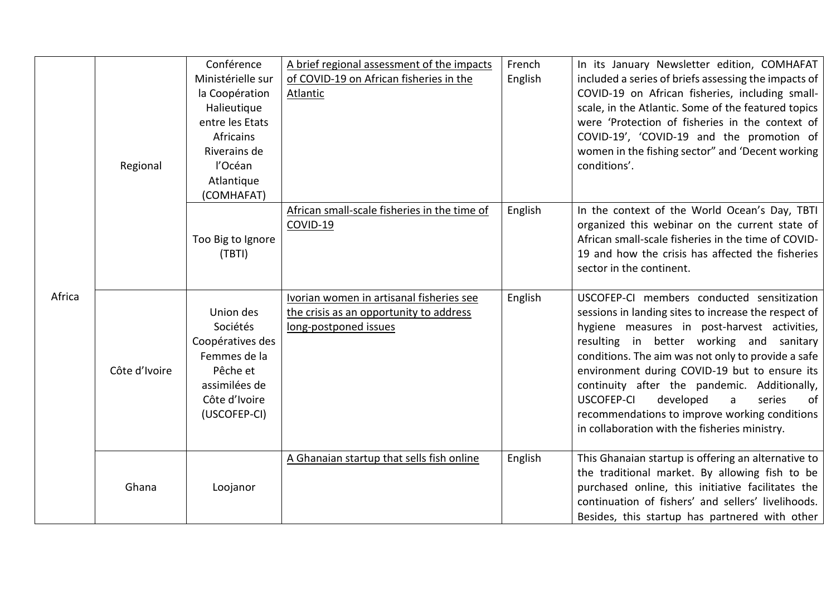|        | Regional      | Conférence<br>Ministérielle sur<br>la Coopération<br>Halieutique<br>entre les Etats<br><b>Africains</b><br>Riverains de<br>l'Océan<br>Atlantique<br>(COMHAFAT) | A brief regional assessment of the impacts<br>of COVID-19 on African fisheries in the<br>Atlantic            | French<br>English | In its January Newsletter edition, COMHAFAT<br>included a series of briefs assessing the impacts of<br>COVID-19 on African fisheries, including small-<br>scale, in the Atlantic. Some of the featured topics<br>were 'Protection of fisheries in the context of<br>COVID-19', 'COVID-19 and the promotion of<br>women in the fishing sector" and 'Decent working<br>conditions'.                                                                                                                       |
|--------|---------------|----------------------------------------------------------------------------------------------------------------------------------------------------------------|--------------------------------------------------------------------------------------------------------------|-------------------|---------------------------------------------------------------------------------------------------------------------------------------------------------------------------------------------------------------------------------------------------------------------------------------------------------------------------------------------------------------------------------------------------------------------------------------------------------------------------------------------------------|
|        |               | Too Big to Ignore<br>(TBTI)                                                                                                                                    | African small-scale fisheries in the time of<br>COVID-19                                                     | English           | In the context of the World Ocean's Day, TBTI<br>organized this webinar on the current state of<br>African small-scale fisheries in the time of COVID-<br>19 and how the crisis has affected the fisheries<br>sector in the continent.                                                                                                                                                                                                                                                                  |
| Africa | Côte d'Ivoire | Union des<br>Sociétés<br>Coopératives des<br>Femmes de la<br>Pêche et<br>assimilées de<br>Côte d'Ivoire<br>(USCOFEP-CI)                                        | Ivorian women in artisanal fisheries see<br>the crisis as an opportunity to address<br>long-postponed issues | English           | USCOFEP-CI members conducted sensitization<br>sessions in landing sites to increase the respect of<br>hygiene measures in post-harvest activities,<br>resulting in better working and sanitary<br>conditions. The aim was not only to provide a safe<br>environment during COVID-19 but to ensure its<br>continuity after the pandemic. Additionally,<br>USCOFEP-CI<br>developed<br>series<br>of<br>a<br>recommendations to improve working conditions<br>in collaboration with the fisheries ministry. |
|        | Ghana         | Loojanor                                                                                                                                                       | A Ghanaian startup that sells fish online                                                                    | English           | This Ghanaian startup is offering an alternative to<br>the traditional market. By allowing fish to be<br>purchased online, this initiative facilitates the<br>continuation of fishers' and sellers' livelihoods.<br>Besides, this startup has partnered with other                                                                                                                                                                                                                                      |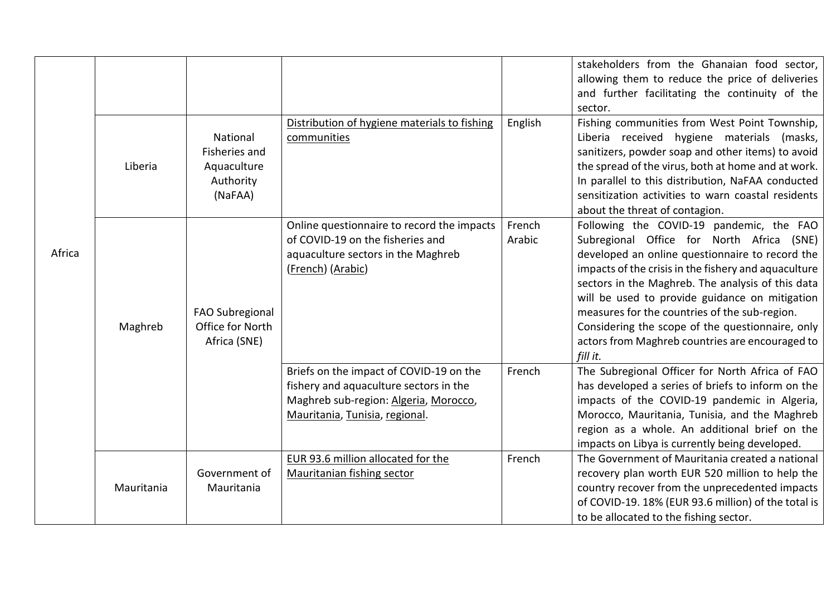|        |            |                                                                  |                                                                                                                                                              |                  | stakeholders from the Ghanaian food sector,<br>allowing them to reduce the price of deliveries<br>and further facilitating the continuity of the<br>sector.                                                                                                                                                                                                                                                                                                                 |
|--------|------------|------------------------------------------------------------------|--------------------------------------------------------------------------------------------------------------------------------------------------------------|------------------|-----------------------------------------------------------------------------------------------------------------------------------------------------------------------------------------------------------------------------------------------------------------------------------------------------------------------------------------------------------------------------------------------------------------------------------------------------------------------------|
| Africa | Liberia    | National<br>Fisheries and<br>Aquaculture<br>Authority<br>(NaFAA) | Distribution of hygiene materials to fishing<br>communities                                                                                                  | English          | Fishing communities from West Point Township,<br>Liberia received hygiene materials (masks,<br>sanitizers, powder soap and other items) to avoid<br>the spread of the virus, both at home and at work.<br>In parallel to this distribution, NaFAA conducted<br>sensitization activities to warn coastal residents<br>about the threat of contagion.                                                                                                                         |
|        | Maghreb    | FAO Subregional<br>Office for North<br>Africa (SNE)              | Online questionnaire to record the impacts<br>of COVID-19 on the fisheries and<br>aquaculture sectors in the Maghreb<br>(French) (Arabic)                    | French<br>Arabic | Following the COVID-19 pandemic, the FAO<br>Subregional Office for North Africa (SNE)<br>developed an online questionnaire to record the<br>impacts of the crisis in the fishery and aquaculture<br>sectors in the Maghreb. The analysis of this data<br>will be used to provide guidance on mitigation<br>measures for the countries of the sub-region.<br>Considering the scope of the questionnaire, only<br>actors from Maghreb countries are encouraged to<br>fill it. |
|        |            |                                                                  | Briefs on the impact of COVID-19 on the<br>fishery and aquaculture sectors in the<br>Maghreb sub-region: Algeria, Morocco,<br>Mauritania, Tunisia, regional. | French           | The Subregional Officer for North Africa of FAO<br>has developed a series of briefs to inform on the<br>impacts of the COVID-19 pandemic in Algeria,<br>Morocco, Mauritania, Tunisia, and the Maghreb<br>region as a whole. An additional brief on the<br>impacts on Libya is currently being developed.                                                                                                                                                                    |
|        | Mauritania | Government of<br>Mauritania                                      | EUR 93.6 million allocated for the<br><b>Mauritanian fishing sector</b>                                                                                      | French           | The Government of Mauritania created a national<br>recovery plan worth EUR 520 million to help the<br>country recover from the unprecedented impacts<br>of COVID-19. 18% (EUR 93.6 million) of the total is<br>to be allocated to the fishing sector.                                                                                                                                                                                                                       |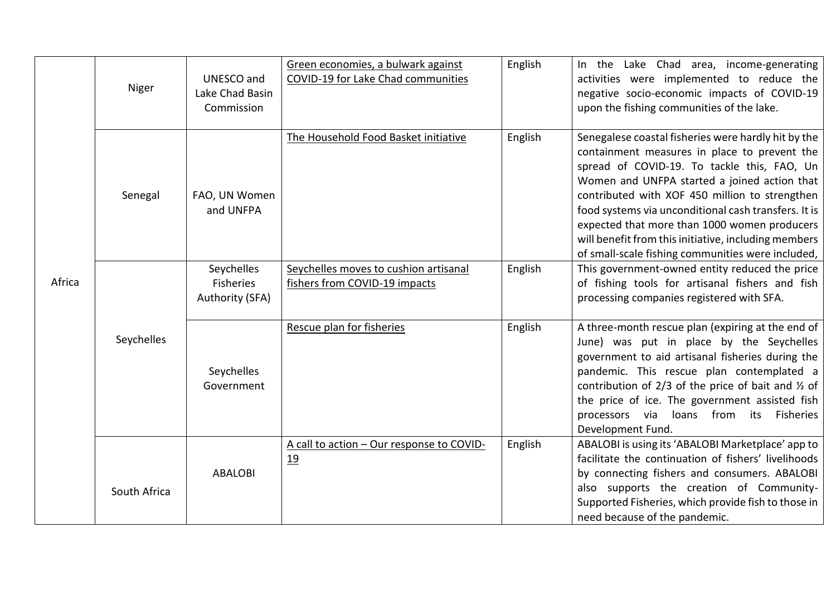| Africa | Niger        | UNESCO and<br>Lake Chad Basin<br>Commission | Green economies, a bulwark against<br>COVID-19 for Lake Chad communities | English | In the Lake Chad area, income-generating<br>activities were implemented to reduce the<br>negative socio-economic impacts of COVID-19<br>upon the fishing communities of the lake.                                                                                                                                                                                                                                                                                         |
|--------|--------------|---------------------------------------------|--------------------------------------------------------------------------|---------|---------------------------------------------------------------------------------------------------------------------------------------------------------------------------------------------------------------------------------------------------------------------------------------------------------------------------------------------------------------------------------------------------------------------------------------------------------------------------|
|        | Senegal      | FAO, UN Women<br>and UNFPA                  | The Household Food Basket initiative                                     | English | Senegalese coastal fisheries were hardly hit by the<br>containment measures in place to prevent the<br>spread of COVID-19. To tackle this, FAO, Un<br>Women and UNFPA started a joined action that<br>contributed with XOF 450 million to strengthen<br>food systems via unconditional cash transfers. It is<br>expected that more than 1000 women producers<br>will benefit from this initiative, including members<br>of small-scale fishing communities were included, |
|        |              | Seychelles<br>Fisheries<br>Authority (SFA)  | Seychelles moves to cushion artisanal<br>fishers from COVID-19 impacts   | English | This government-owned entity reduced the price<br>of fishing tools for artisanal fishers and fish<br>processing companies registered with SFA.                                                                                                                                                                                                                                                                                                                            |
|        | Seychelles   | Seychelles<br>Government                    | Rescue plan for fisheries                                                | English | A three-month rescue plan (expiring at the end of<br>June) was put in place by the Seychelles<br>government to aid artisanal fisheries during the<br>pandemic. This rescue plan contemplated a<br>contribution of $2/3$ of the price of bait and $\frac{1}{2}$ of<br>the price of ice. The government assisted fish<br>processors via loans from its Fisheries<br>Development Fund.                                                                                       |
|        | South Africa | <b>ABALOBI</b>                              | A call to action - Our response to COVID-<br>19                          | English | ABALOBI is using its 'ABALOBI Marketplace' app to<br>facilitate the continuation of fishers' livelihoods<br>by connecting fishers and consumers. ABALOBI<br>also supports the creation of Community-<br>Supported Fisheries, which provide fish to those in<br>need because of the pandemic.                                                                                                                                                                              |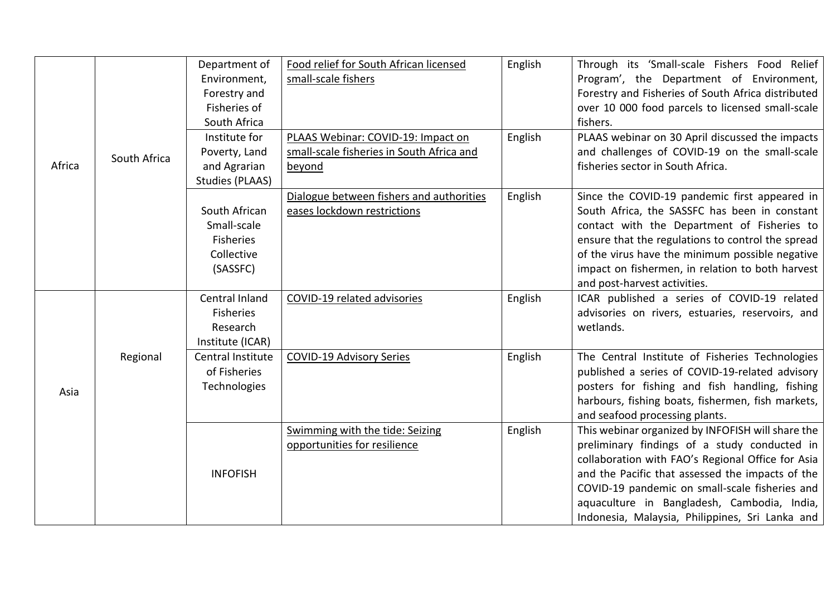| Africa | South Africa | Department of<br>Environment,<br>Forestry and<br>Fisheries of<br>South Africa<br>Institute for<br>Poverty, Land<br>and Agrarian<br><b>Studies (PLAAS)</b> | Food relief for South African licensed<br>small-scale fishers<br>PLAAS Webinar: COVID-19: Impact on<br>small-scale fisheries in South Africa and<br>beyond | English<br>English | Through its 'Small-scale Fishers Food Relief<br>Program', the Department of Environment,<br>Forestry and Fisheries of South Africa distributed<br>over 10 000 food parcels to licensed small-scale<br>fishers.<br>PLAAS webinar on 30 April discussed the impacts<br>and challenges of COVID-19 on the small-scale<br>fisheries sector in South Africa.        |
|--------|--------------|-----------------------------------------------------------------------------------------------------------------------------------------------------------|------------------------------------------------------------------------------------------------------------------------------------------------------------|--------------------|----------------------------------------------------------------------------------------------------------------------------------------------------------------------------------------------------------------------------------------------------------------------------------------------------------------------------------------------------------------|
|        |              | South African<br>Small-scale<br>Fisheries<br>Collective<br>(SASSFC)                                                                                       | Dialogue between fishers and authorities<br>eases lockdown restrictions                                                                                    | English            | Since the COVID-19 pandemic first appeared in<br>South Africa, the SASSFC has been in constant<br>contact with the Department of Fisheries to<br>ensure that the regulations to control the spread<br>of the virus have the minimum possible negative<br>impact on fishermen, in relation to both harvest<br>and post-harvest activities.                      |
|        |              | Central Inland<br><b>Fisheries</b><br>Research<br>Institute (ICAR)                                                                                        | COVID-19 related advisories                                                                                                                                | English            | ICAR published a series of COVID-19 related<br>advisories on rivers, estuaries, reservoirs, and<br>wetlands.                                                                                                                                                                                                                                                   |
| Asia   | Regional     | Central Institute<br>of Fisheries<br>Technologies                                                                                                         | <b>COVID-19 Advisory Series</b>                                                                                                                            | English            | The Central Institute of Fisheries Technologies<br>published a series of COVID-19-related advisory<br>posters for fishing and fish handling, fishing<br>harbours, fishing boats, fishermen, fish markets,<br>and seafood processing plants.                                                                                                                    |
|        |              | <b>INFOFISH</b>                                                                                                                                           | Swimming with the tide: Seizing<br>opportunities for resilience                                                                                            | English            | This webinar organized by INFOFISH will share the<br>preliminary findings of a study conducted in<br>collaboration with FAO's Regional Office for Asia<br>and the Pacific that assessed the impacts of the<br>COVID-19 pandemic on small-scale fisheries and<br>aquaculture in Bangladesh, Cambodia, India,<br>Indonesia, Malaysia, Philippines, Sri Lanka and |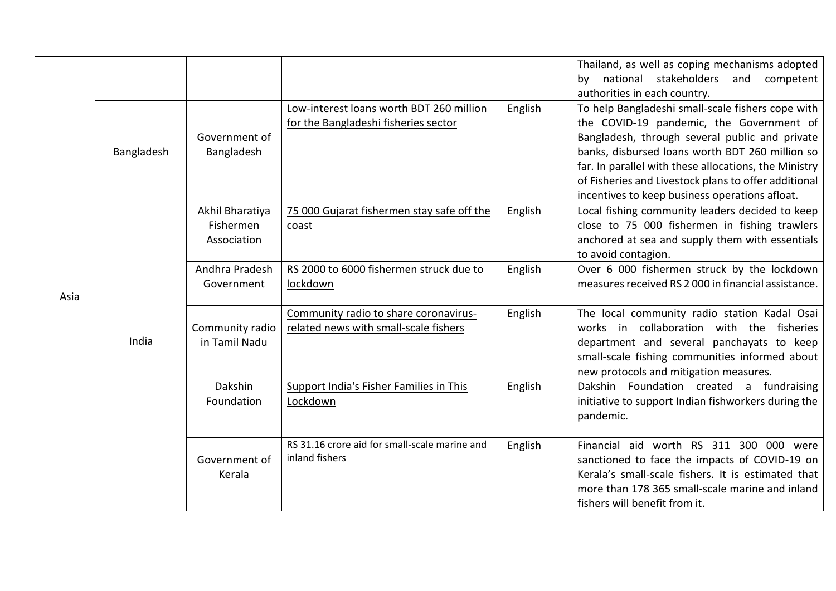|      |            |                                             |                                                                                  |         | Thailand, as well as coping mechanisms adopted<br>by national stakeholders and<br>competent<br>authorities in each country.                                                                                                                                                                                                                                           |
|------|------------|---------------------------------------------|----------------------------------------------------------------------------------|---------|-----------------------------------------------------------------------------------------------------------------------------------------------------------------------------------------------------------------------------------------------------------------------------------------------------------------------------------------------------------------------|
| Asia | Bangladesh | Government of<br>Bangladesh                 | Low-interest loans worth BDT 260 million<br>for the Bangladeshi fisheries sector | English | To help Bangladeshi small-scale fishers cope with<br>the COVID-19 pandemic, the Government of<br>Bangladesh, through several public and private<br>banks, disbursed loans worth BDT 260 million so<br>far. In parallel with these allocations, the Ministry<br>of Fisheries and Livestock plans to offer additional<br>incentives to keep business operations afloat. |
|      | India      | Akhil Bharatiya<br>Fishermen<br>Association | 75 000 Gujarat fishermen stay safe off the<br>coast                              | English | Local fishing community leaders decided to keep<br>close to 75 000 fishermen in fishing trawlers<br>anchored at sea and supply them with essentials<br>to avoid contagion.                                                                                                                                                                                            |
|      |            | Andhra Pradesh<br>Government                | RS 2000 to 6000 fishermen struck due to<br>lockdown                              | English | Over 6 000 fishermen struck by the lockdown<br>measures received RS 2000 in financial assistance.                                                                                                                                                                                                                                                                     |
|      |            | Community radio<br>in Tamil Nadu            | Community radio to share coronavirus-<br>related news with small-scale fishers   | English | The local community radio station Kadal Osai<br>works in collaboration with the fisheries<br>department and several panchayats to keep<br>small-scale fishing communities informed about<br>new protocols and mitigation measures.                                                                                                                                    |
|      |            | Dakshin<br>Foundation                       | Support India's Fisher Families in This<br>Lockdown                              | English | Dakshin Foundation created a fundraising<br>initiative to support Indian fishworkers during the<br>pandemic.                                                                                                                                                                                                                                                          |
|      |            | Government of<br>Kerala                     | RS 31.16 crore aid for small-scale marine and<br>inland fishers                  | English | Financial aid worth RS 311 300 000 were<br>sanctioned to face the impacts of COVID-19 on<br>Kerala's small-scale fishers. It is estimated that<br>more than 178 365 small-scale marine and inland<br>fishers will benefit from it.                                                                                                                                    |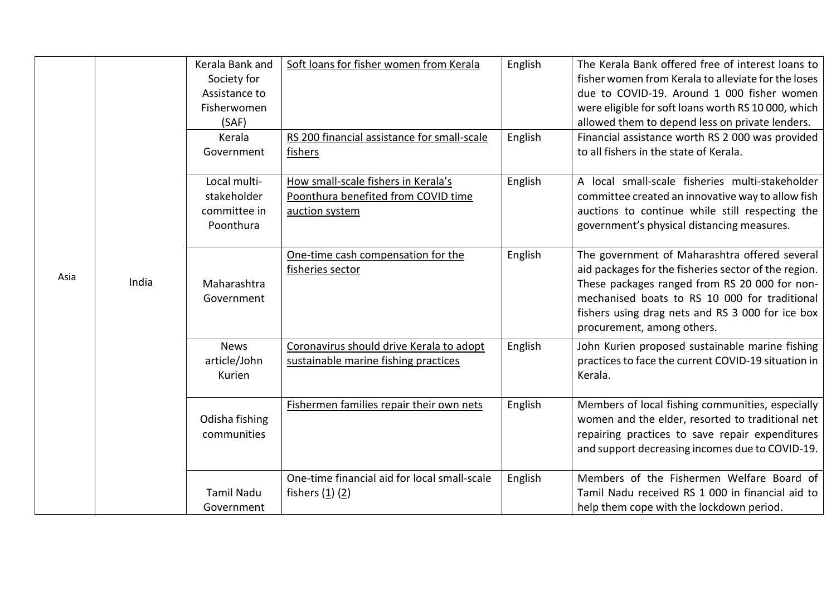| Asia |       | Kerala Bank and<br>Society for<br>Assistance to<br>Fisherwomen<br>(SAF) | Soft loans for fisher women from Kerala                                                      | English | The Kerala Bank offered free of interest loans to<br>fisher women from Kerala to alleviate for the loses<br>due to COVID-19. Around 1 000 fisher women<br>were eligible for soft loans worth RS 10 000, which<br>allowed them to depend less on private lenders.                          |
|------|-------|-------------------------------------------------------------------------|----------------------------------------------------------------------------------------------|---------|-------------------------------------------------------------------------------------------------------------------------------------------------------------------------------------------------------------------------------------------------------------------------------------------|
|      |       | Kerala<br>Government                                                    | RS 200 financial assistance for small-scale<br>fishers                                       | English | Financial assistance worth RS 2 000 was provided<br>to all fishers in the state of Kerala.                                                                                                                                                                                                |
|      |       | Local multi-<br>stakeholder<br>committee in<br>Poonthura                | How small-scale fishers in Kerala's<br>Poonthura benefited from COVID time<br>auction system | English | A local small-scale fisheries multi-stakeholder<br>committee created an innovative way to allow fish<br>auctions to continue while still respecting the<br>government's physical distancing measures.                                                                                     |
|      | India | Maharashtra<br>Government                                               | One-time cash compensation for the<br>fisheries sector                                       | English | The government of Maharashtra offered several<br>aid packages for the fisheries sector of the region.<br>These packages ranged from RS 20 000 for non-<br>mechanised boats to RS 10 000 for traditional<br>fishers using drag nets and RS 3 000 for ice box<br>procurement, among others. |
|      |       | <b>News</b><br>article/John<br>Kurien                                   | Coronavirus should drive Kerala to adopt<br>sustainable marine fishing practices             | English | John Kurien proposed sustainable marine fishing<br>practices to face the current COVID-19 situation in<br>Kerala.                                                                                                                                                                         |
|      |       | Odisha fishing<br>communities                                           | Fishermen families repair their own nets                                                     | English | Members of local fishing communities, especially<br>women and the elder, resorted to traditional net<br>repairing practices to save repair expenditures<br>and support decreasing incomes due to COVID-19.                                                                                |
|      |       | <b>Tamil Nadu</b><br>Government                                         | One-time financial aid for local small-scale<br>fishers $(1)(2)$                             | English | Members of the Fishermen Welfare Board of<br>Tamil Nadu received RS 1 000 in financial aid to<br>help them cope with the lockdown period.                                                                                                                                                 |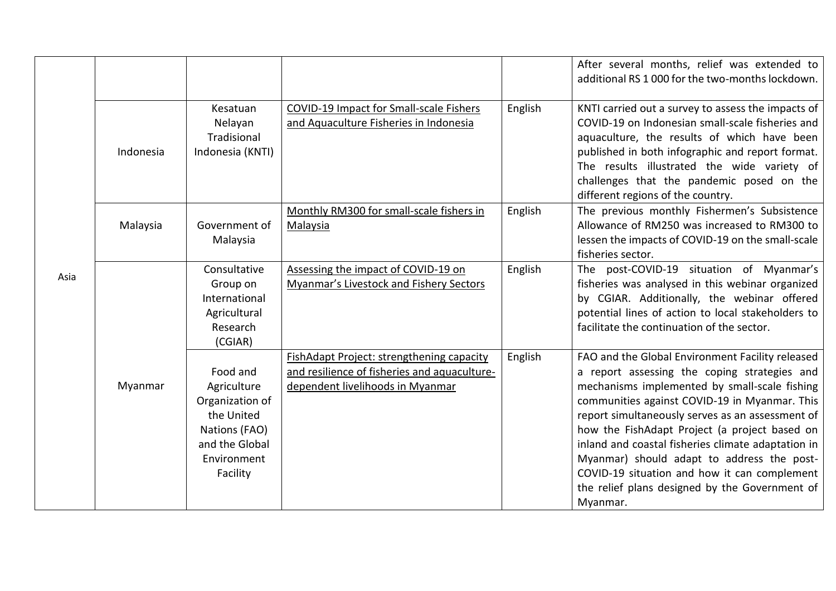|      |           |                               |                                              |         | After several months, relief was extended to<br>additional RS 1 000 for the two-months lockdown.  |
|------|-----------|-------------------------------|----------------------------------------------|---------|---------------------------------------------------------------------------------------------------|
|      |           |                               |                                              |         |                                                                                                   |
|      |           | Kesatuan                      | COVID-19 Impact for Small-scale Fishers      | English | KNTI carried out a survey to assess the impacts of                                                |
|      |           | Nelayan                       | and Aquaculture Fisheries in Indonesia       |         | COVID-19 on Indonesian small-scale fisheries and                                                  |
|      |           | Tradisional                   |                                              |         | aquaculture, the results of which have been                                                       |
|      | Indonesia | Indonesia (KNTI)              |                                              |         | published in both infographic and report format.                                                  |
|      |           |                               |                                              |         | The results illustrated the wide variety of                                                       |
|      |           |                               |                                              |         | challenges that the pandemic posed on the                                                         |
|      |           |                               | Monthly RM300 for small-scale fishers in     | English | different regions of the country.<br>The previous monthly Fishermen's Subsistence                 |
|      | Malaysia  | Government of                 | <b>Malaysia</b>                              |         | Allowance of RM250 was increased to RM300 to                                                      |
|      |           | Malaysia                      |                                              |         | lessen the impacts of COVID-19 on the small-scale                                                 |
|      |           |                               |                                              |         | fisheries sector.                                                                                 |
|      |           | Consultative                  | Assessing the impact of COVID-19 on          | English | The post-COVID-19 situation of Myanmar's                                                          |
| Asia |           | Group on                      | Myanmar's Livestock and Fishery Sectors      |         | fisheries was analysed in this webinar organized                                                  |
|      |           | International                 |                                              |         | by CGIAR. Additionally, the webinar offered                                                       |
|      |           | Agricultural                  |                                              |         | potential lines of action to local stakeholders to                                                |
|      |           | Research                      |                                              |         | facilitate the continuation of the sector.                                                        |
|      |           | (CGIAR)                       |                                              |         |                                                                                                   |
|      |           |                               | FishAdapt Project: strengthening capacity    | English | FAO and the Global Environment Facility released                                                  |
|      |           | Food and                      | and resilience of fisheries and aquaculture- |         | a report assessing the coping strategies and                                                      |
|      | Myanmar   | Agriculture                   | dependent livelihoods in Myanmar             |         | mechanisms implemented by small-scale fishing                                                     |
|      |           | Organization of<br>the United |                                              |         | communities against COVID-19 in Myanmar. This                                                     |
|      |           | Nations (FAO)                 |                                              |         | report simultaneously serves as an assessment of<br>how the FishAdapt Project (a project based on |
|      |           | and the Global                |                                              |         | inland and coastal fisheries climate adaptation in                                                |
|      |           | Environment                   |                                              |         | Myanmar) should adapt to address the post-                                                        |
|      |           | Facility                      |                                              |         | COVID-19 situation and how it can complement                                                      |
|      |           |                               |                                              |         | the relief plans designed by the Government of                                                    |
|      |           |                               |                                              |         | Myanmar.                                                                                          |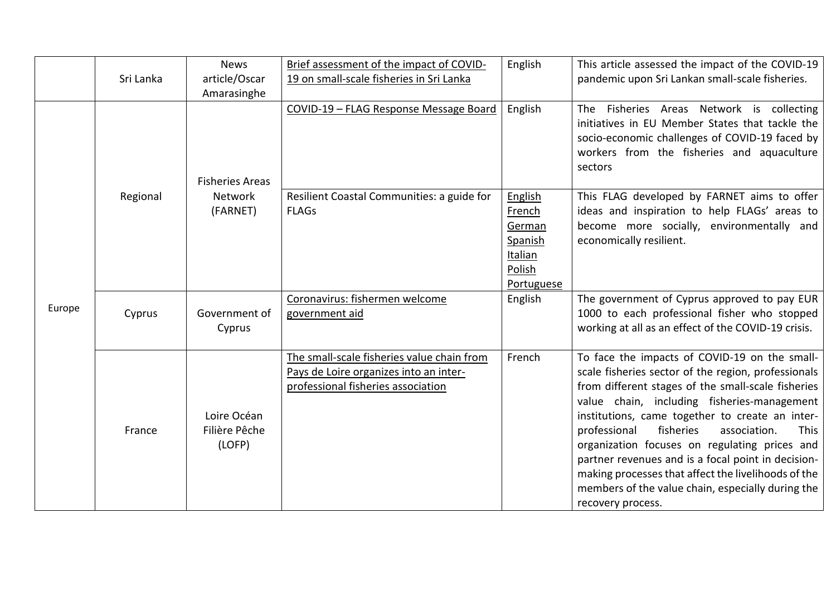|        | Sri Lanka | <b>News</b><br>article/Oscar<br>Amarasinghe | Brief assessment of the impact of COVID-<br>19 on small-scale fisheries in Sri Lanka                                       | English                                                                          | This article assessed the impact of the COVID-19<br>pandemic upon Sri Lankan small-scale fisheries.                                                                                                                                                                                                                                                                                                                                                                                                                                                       |
|--------|-----------|---------------------------------------------|----------------------------------------------------------------------------------------------------------------------------|----------------------------------------------------------------------------------|-----------------------------------------------------------------------------------------------------------------------------------------------------------------------------------------------------------------------------------------------------------------------------------------------------------------------------------------------------------------------------------------------------------------------------------------------------------------------------------------------------------------------------------------------------------|
|        |           | <b>Fisheries Areas</b>                      | COVID-19 - FLAG Response Message Board                                                                                     | English                                                                          | Fisheries Areas Network is collecting<br>The<br>initiatives in EU Member States that tackle the<br>socio-economic challenges of COVID-19 faced by<br>workers from the fisheries and aquaculture<br>sectors                                                                                                                                                                                                                                                                                                                                                |
|        | Regional  | <b>Network</b><br>(FARNET)                  | Resilient Coastal Communities: a guide for<br><b>FLAGs</b>                                                                 | English<br>French<br>German<br>Spanish<br><b>Italian</b><br>Polish<br>Portuguese | This FLAG developed by FARNET aims to offer<br>ideas and inspiration to help FLAGs' areas to<br>become more socially, environmentally and<br>economically resilient.                                                                                                                                                                                                                                                                                                                                                                                      |
| Europe | Cyprus    | Government of<br>Cyprus                     | Coronavirus: fishermen welcome<br>government aid                                                                           | English                                                                          | The government of Cyprus approved to pay EUR<br>1000 to each professional fisher who stopped<br>working at all as an effect of the COVID-19 crisis.                                                                                                                                                                                                                                                                                                                                                                                                       |
|        | France    | Loire Océan<br>Filière Pêche<br>(LOFP)      | The small-scale fisheries value chain from<br>Pays de Loire organizes into an inter-<br>professional fisheries association | French                                                                           | To face the impacts of COVID-19 on the small-<br>scale fisheries sector of the region, professionals<br>from different stages of the small-scale fisheries<br>value chain, including fisheries-management<br>institutions, came together to create an inter-<br>fisheries<br>professional<br>association.<br>This<br>organization focuses on regulating prices and<br>partner revenues and is a focal point in decision-<br>making processes that affect the livelihoods of the<br>members of the value chain, especially during the<br>recovery process. |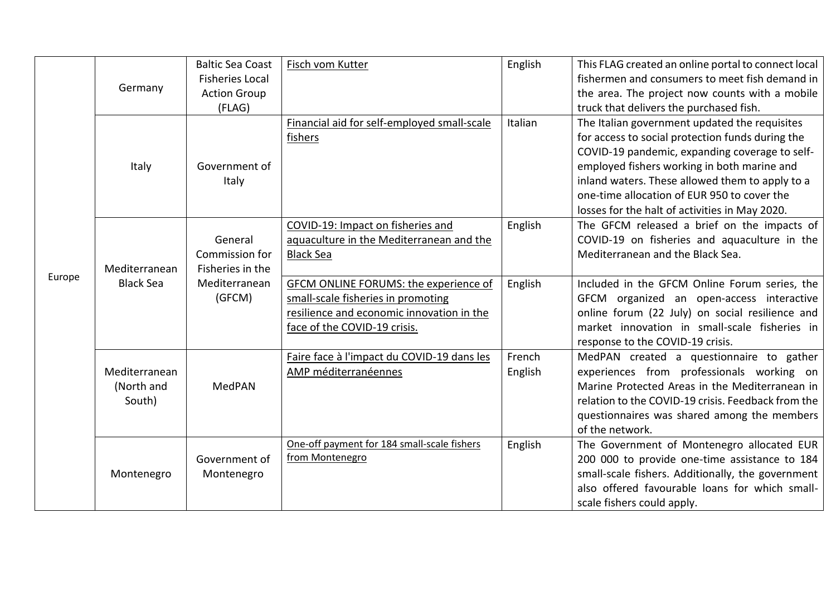|        | Germany                               | <b>Baltic Sea Coast</b><br><b>Fisheries Local</b><br><b>Action Group</b><br>(FLAG) | Fisch vom Kutter                                                                                                                                         | English           | This FLAG created an online portal to connect local<br>fishermen and consumers to meet fish demand in<br>the area. The project now counts with a mobile<br>truck that delivers the purchased fish.                                                                                                                                                     |
|--------|---------------------------------------|------------------------------------------------------------------------------------|----------------------------------------------------------------------------------------------------------------------------------------------------------|-------------------|--------------------------------------------------------------------------------------------------------------------------------------------------------------------------------------------------------------------------------------------------------------------------------------------------------------------------------------------------------|
| Europe | <b>Italy</b>                          | Government of<br>Italy                                                             | Financial aid for self-employed small-scale<br>fishers                                                                                                   | Italian           | The Italian government updated the requisites<br>for access to social protection funds during the<br>COVID-19 pandemic, expanding coverage to self-<br>employed fishers working in both marine and<br>inland waters. These allowed them to apply to a<br>one-time allocation of EUR 950 to cover the<br>losses for the halt of activities in May 2020. |
|        | Mediterranean<br><b>Black Sea</b>     | General<br>Commission for<br>Fisheries in the                                      | COVID-19: Impact on fisheries and<br>aquaculture in the Mediterranean and the<br><b>Black Sea</b>                                                        | English           | The GFCM released a brief on the impacts of<br>COVID-19 on fisheries and aquaculture in the<br>Mediterranean and the Black Sea.                                                                                                                                                                                                                        |
|        |                                       | Mediterranean<br>(GFCM)                                                            | GFCM ONLINE FORUMS: the experience of<br>small-scale fisheries in promoting<br>resilience and economic innovation in the<br>face of the COVID-19 crisis. | English           | Included in the GFCM Online Forum series, the<br>GFCM organized an open-access interactive<br>online forum (22 July) on social resilience and<br>market innovation in small-scale fisheries in<br>response to the COVID-19 crisis.                                                                                                                     |
|        | Mediterranean<br>(North and<br>South) | <b>MedPAN</b>                                                                      | Faire face à l'impact du COVID-19 dans les<br>AMP méditerranéennes                                                                                       | French<br>English | MedPAN created a questionnaire to gather<br>experiences from professionals working on<br>Marine Protected Areas in the Mediterranean in<br>relation to the COVID-19 crisis. Feedback from the<br>questionnaires was shared among the members<br>of the network.                                                                                        |
|        | Montenegro                            | Government of<br>Montenegro                                                        | One-off payment for 184 small-scale fishers<br>from Montenegro                                                                                           | English           | The Government of Montenegro allocated EUR<br>200 000 to provide one-time assistance to 184<br>small-scale fishers. Additionally, the government<br>also offered favourable loans for which small-<br>scale fishers could apply.                                                                                                                       |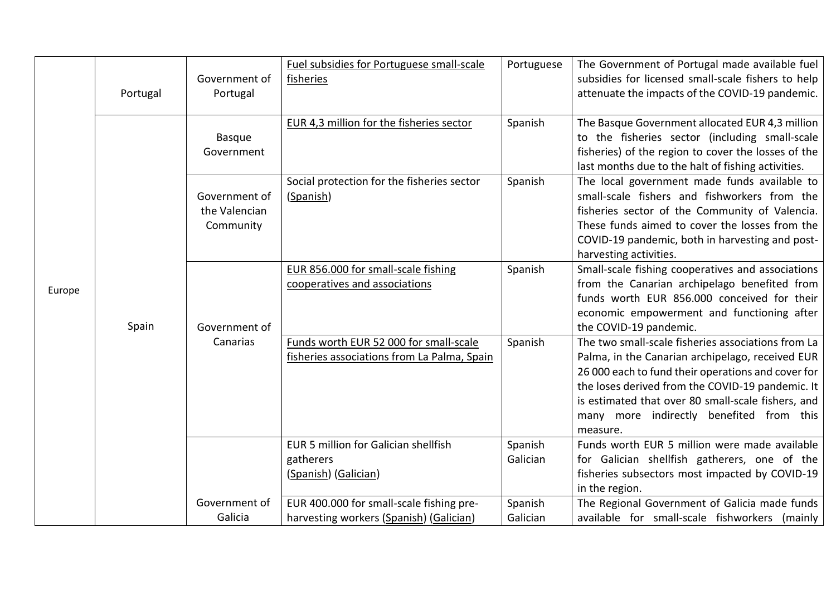| Europe | Portugal | Government of<br>Portugal                   | Fuel subsidies for Portuguese small-scale<br>fisheries                                | Portuguese          | The Government of Portugal made available fuel<br>subsidies for licensed small-scale fishers to help<br>attenuate the impacts of the COVID-19 pandemic.                                                                                                                                                                        |
|--------|----------|---------------------------------------------|---------------------------------------------------------------------------------------|---------------------|--------------------------------------------------------------------------------------------------------------------------------------------------------------------------------------------------------------------------------------------------------------------------------------------------------------------------------|
|        |          | <b>Basque</b><br>Government                 | EUR 4,3 million for the fisheries sector                                              | Spanish             | The Basque Government allocated EUR 4,3 million<br>to the fisheries sector (including small-scale<br>fisheries) of the region to cover the losses of the<br>last months due to the halt of fishing activities.                                                                                                                 |
|        | Spain    | Government of<br>the Valencian<br>Community | Social protection for the fisheries sector<br>(Spanish)                               | Spanish             | The local government made funds available to<br>small-scale fishers and fishworkers from the<br>fisheries sector of the Community of Valencia.<br>These funds aimed to cover the losses from the<br>COVID-19 pandemic, both in harvesting and post-<br>harvesting activities.                                                  |
|        |          | Government of                               | EUR 856.000 for small-scale fishing<br>cooperatives and associations                  | Spanish             | Small-scale fishing cooperatives and associations<br>from the Canarian archipelago benefited from<br>funds worth EUR 856.000 conceived for their<br>economic empowerment and functioning after<br>the COVID-19 pandemic.                                                                                                       |
|        |          | Canarias                                    | Funds worth EUR 52 000 for small-scale<br>fisheries associations from La Palma, Spain | Spanish             | The two small-scale fisheries associations from La<br>Palma, in the Canarian archipelago, received EUR<br>26 000 each to fund their operations and cover for<br>the loses derived from the COVID-19 pandemic. It<br>is estimated that over 80 small-scale fishers, and<br>many more indirectly benefited from this<br>measure. |
|        |          |                                             | EUR 5 million for Galician shellfish<br>gatherers<br>(Spanish) (Galician)             | Spanish<br>Galician | Funds worth EUR 5 million were made available<br>for Galician shellfish gatherers, one of the<br>fisheries subsectors most impacted by COVID-19<br>in the region.                                                                                                                                                              |
|        |          | Government of<br>Galicia                    | EUR 400.000 for small-scale fishing pre-<br>harvesting workers (Spanish) (Galician)   | Spanish<br>Galician | The Regional Government of Galicia made funds<br>available for small-scale fishworkers (mainly                                                                                                                                                                                                                                 |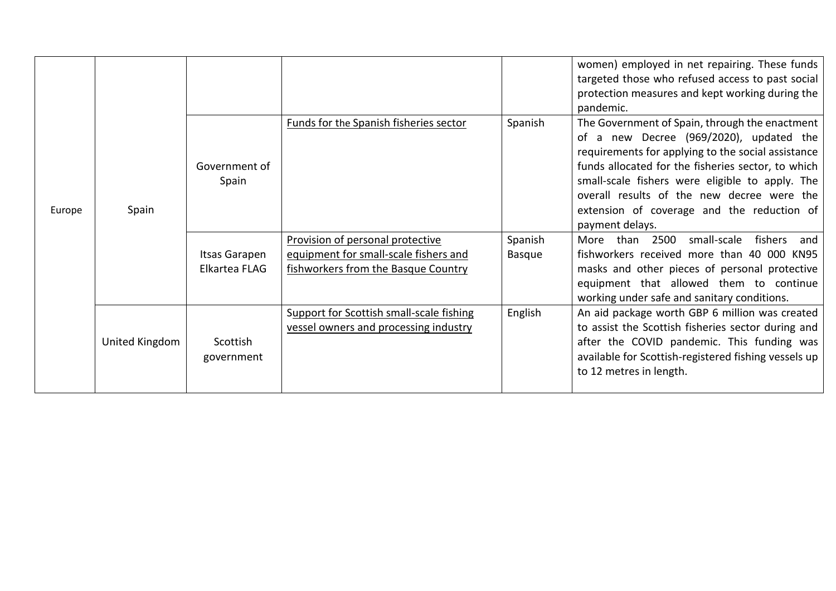| Europe | Spain          |                                |                                                                                                                  |                          | women) employed in net repairing. These funds<br>targeted those who refused access to past social<br>protection measures and kept working during the<br>pandemic.                                                                                                                                                                                                       |
|--------|----------------|--------------------------------|------------------------------------------------------------------------------------------------------------------|--------------------------|-------------------------------------------------------------------------------------------------------------------------------------------------------------------------------------------------------------------------------------------------------------------------------------------------------------------------------------------------------------------------|
|        |                | Government of<br>Spain         | Funds for the Spanish fisheries sector                                                                           | Spanish                  | The Government of Spain, through the enactment<br>of a new Decree (969/2020), updated the<br>requirements for applying to the social assistance<br>funds allocated for the fisheries sector, to which<br>small-scale fishers were eligible to apply. The<br>overall results of the new decree were the<br>extension of coverage and the reduction of<br>payment delays. |
|        |                | Itsas Garapen<br>Elkartea FLAG | Provision of personal protective<br>equipment for small-scale fishers and<br>fishworkers from the Basque Country | Spanish<br><b>Basque</b> | More than 2500<br>small-scale fishers and<br>fishworkers received more than 40 000 KN95<br>masks and other pieces of personal protective<br>equipment that allowed them to continue<br>working under safe and sanitary conditions.                                                                                                                                      |
|        | United Kingdom | Scottish<br>government         | Support for Scottish small-scale fishing<br>vessel owners and processing industry                                | English                  | An aid package worth GBP 6 million was created<br>to assist the Scottish fisheries sector during and<br>after the COVID pandemic. This funding was<br>available for Scottish-registered fishing vessels up<br>to 12 metres in length.                                                                                                                                   |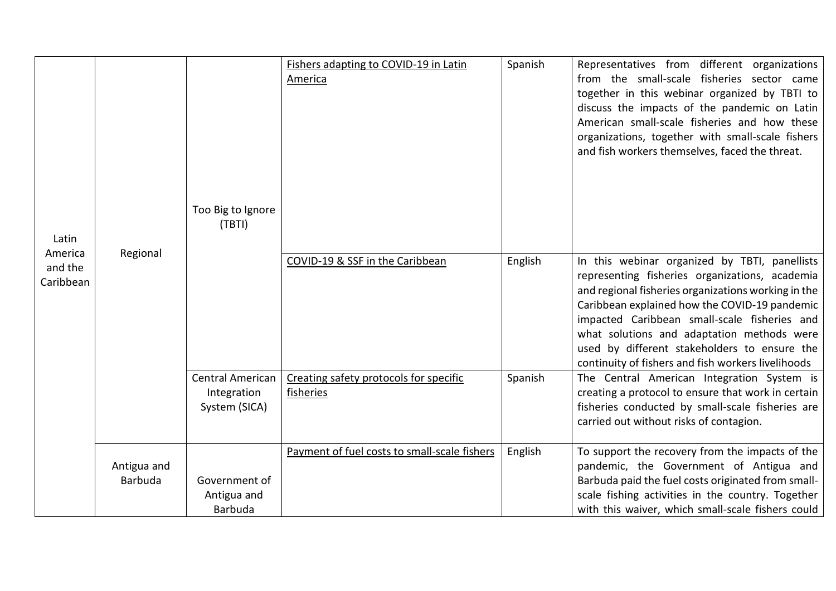| Latin                           |                               | Too Big to Ignore<br>(TBTI)                      | Fishers adapting to COVID-19 in Latin<br>America    | Spanish | Representatives from different organizations<br>from the small-scale fisheries sector came<br>together in this webinar organized by TBTI to<br>discuss the impacts of the pandemic on Latin<br>American small-scale fisheries and how these<br>organizations, together with small-scale fishers<br>and fish workers themselves, faced the threat.                                                           |
|---------------------------------|-------------------------------|--------------------------------------------------|-----------------------------------------------------|---------|-------------------------------------------------------------------------------------------------------------------------------------------------------------------------------------------------------------------------------------------------------------------------------------------------------------------------------------------------------------------------------------------------------------|
| America<br>and the<br>Caribbean | Regional                      |                                                  | COVID-19 & SSF in the Caribbean                     | English | In this webinar organized by TBTI, panellists<br>representing fisheries organizations, academia<br>and regional fisheries organizations working in the<br>Caribbean explained how the COVID-19 pandemic<br>impacted Caribbean small-scale fisheries and<br>what solutions and adaptation methods were<br>used by different stakeholders to ensure the<br>continuity of fishers and fish workers livelihoods |
|                                 |                               | Central American<br>Integration<br>System (SICA) | Creating safety protocols for specific<br>fisheries | Spanish | The Central American Integration System is<br>creating a protocol to ensure that work in certain<br>fisheries conducted by small-scale fisheries are<br>carried out without risks of contagion.                                                                                                                                                                                                             |
|                                 | Antigua and<br><b>Barbuda</b> | Government of<br>Antigua and<br><b>Barbuda</b>   | Payment of fuel costs to small-scale fishers        | English | To support the recovery from the impacts of the<br>pandemic, the Government of Antigua and<br>Barbuda paid the fuel costs originated from small-<br>scale fishing activities in the country. Together<br>with this waiver, which small-scale fishers could                                                                                                                                                  |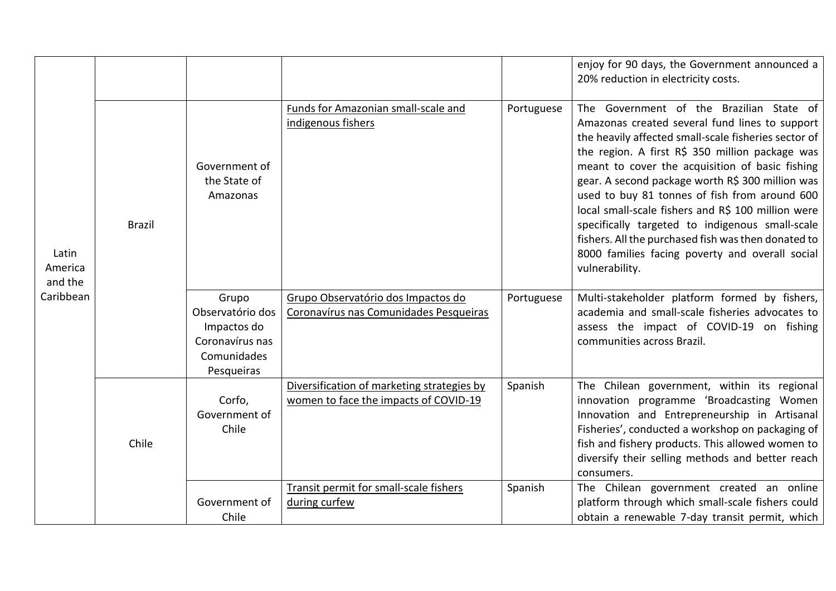|                                          |               |                                                                                          |                                                                                     |            | enjoy for 90 days, the Government announced a<br>20% reduction in electricity costs.                                                                                                                                                                                                                                                                                                                                                                                                                                                                                                               |
|------------------------------------------|---------------|------------------------------------------------------------------------------------------|-------------------------------------------------------------------------------------|------------|----------------------------------------------------------------------------------------------------------------------------------------------------------------------------------------------------------------------------------------------------------------------------------------------------------------------------------------------------------------------------------------------------------------------------------------------------------------------------------------------------------------------------------------------------------------------------------------------------|
| Latin<br>America<br>and the<br>Caribbean | <b>Brazil</b> | Government of<br>the State of<br>Amazonas                                                | Funds for Amazonian small-scale and<br>indigenous fishers                           | Portuguese | The Government of the Brazilian State of<br>Amazonas created several fund lines to support<br>the heavily affected small-scale fisheries sector of<br>the region. A first R\$ 350 million package was<br>meant to cover the acquisition of basic fishing<br>gear. A second package worth R\$ 300 million was<br>used to buy 81 tonnes of fish from around 600<br>local small-scale fishers and R\$ 100 million were<br>specifically targeted to indigenous small-scale<br>fishers. All the purchased fish was then donated to<br>8000 families facing poverty and overall social<br>vulnerability. |
|                                          |               | Grupo<br>Observatório dos<br>Impactos do<br>Coronavírus nas<br>Comunidades<br>Pesqueiras | Grupo Observatório dos Impactos do<br>Coronavírus nas Comunidades Pesqueiras        | Portuguese | Multi-stakeholder platform formed by fishers,<br>academia and small-scale fisheries advocates to<br>assess the impact of COVID-19 on fishing<br>communities across Brazil.                                                                                                                                                                                                                                                                                                                                                                                                                         |
|                                          | Chile         | Corfo,<br>Government of<br>Chile                                                         | Diversification of marketing strategies by<br>women to face the impacts of COVID-19 | Spanish    | The Chilean government, within its regional<br>innovation programme 'Broadcasting Women<br>Innovation and Entrepreneurship in Artisanal<br>Fisheries', conducted a workshop on packaging of<br>fish and fishery products. This allowed women to<br>diversify their selling methods and better reach<br>consumers.                                                                                                                                                                                                                                                                                  |
|                                          |               | Government of<br>Chile                                                                   | Transit permit for small-scale fishers<br>during curfew                             | Spanish    | The Chilean government created an online<br>platform through which small-scale fishers could<br>obtain a renewable 7-day transit permit, which                                                                                                                                                                                                                                                                                                                                                                                                                                                     |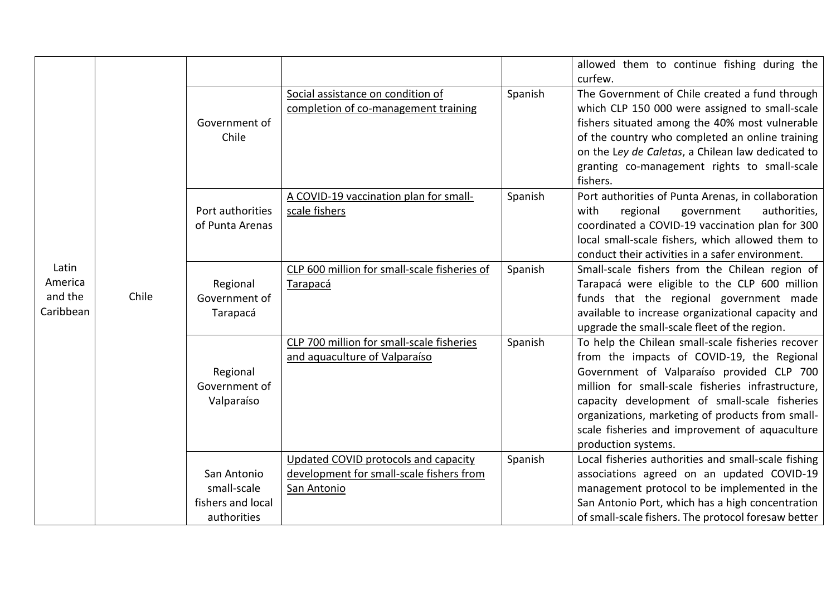|                                          |       |                                                                |                                                                                                 |         | allowed them to continue fishing during the<br>curfew.                                                                                                                                                                                                                                                                                                                          |
|------------------------------------------|-------|----------------------------------------------------------------|-------------------------------------------------------------------------------------------------|---------|---------------------------------------------------------------------------------------------------------------------------------------------------------------------------------------------------------------------------------------------------------------------------------------------------------------------------------------------------------------------------------|
|                                          |       | Government of<br>Chile                                         | Social assistance on condition of<br>completion of co-management training                       | Spanish | The Government of Chile created a fund through<br>which CLP 150 000 were assigned to small-scale<br>fishers situated among the 40% most vulnerable<br>of the country who completed an online training<br>on the Ley de Caletas, a Chilean law dedicated to<br>granting co-management rights to small-scale<br>fishers.                                                          |
|                                          |       | Port authorities<br>of Punta Arenas                            | A COVID-19 vaccination plan for small-<br>scale fishers                                         | Spanish | Port authorities of Punta Arenas, in collaboration<br>with<br>regional<br>government<br>authorities,<br>coordinated a COVID-19 vaccination plan for 300<br>local small-scale fishers, which allowed them to<br>conduct their activities in a safer environment.                                                                                                                 |
| Latin<br>America<br>and the<br>Caribbean | Chile | Regional<br>Government of<br>Tarapacá                          | CLP 600 million for small-scale fisheries of<br>Tarapacá                                        | Spanish | Small-scale fishers from the Chilean region of<br>Tarapacá were eligible to the CLP 600 million<br>funds that the regional government made<br>available to increase organizational capacity and<br>upgrade the small-scale fleet of the region.                                                                                                                                 |
|                                          |       | Regional<br>Government of<br>Valparaíso                        | CLP 700 million for small-scale fisheries<br>and aquaculture of Valparaíso                      | Spanish | To help the Chilean small-scale fisheries recover<br>from the impacts of COVID-19, the Regional<br>Government of Valparaíso provided CLP 700<br>million for small-scale fisheries infrastructure,<br>capacity development of small-scale fisheries<br>organizations, marketing of products from small-<br>scale fisheries and improvement of aquaculture<br>production systems. |
|                                          |       | San Antonio<br>small-scale<br>fishers and local<br>authorities | Updated COVID protocols and capacity<br>development for small-scale fishers from<br>San Antonio | Spanish | Local fisheries authorities and small-scale fishing<br>associations agreed on an updated COVID-19<br>management protocol to be implemented in the<br>San Antonio Port, which has a high concentration<br>of small-scale fishers. The protocol foresaw better                                                                                                                    |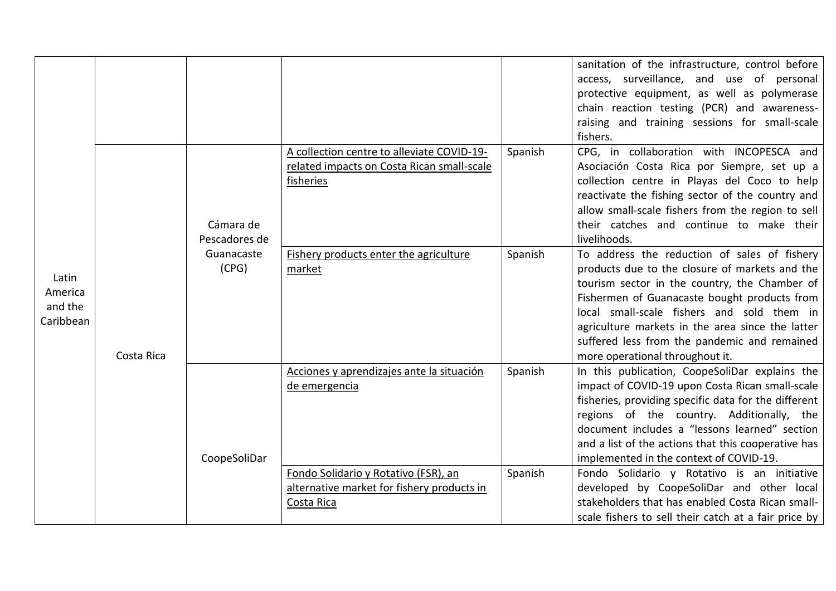|                                          |            |                            |                                                                                                       |         | sanitation of the infrastructure, control before<br>access, surveillance, and use of personal<br>protective equipment, as well as polymerase<br>chain reaction testing (PCR) and awareness-<br>raising and training sessions for small-scale<br>fishers.                                                                                                                             |
|------------------------------------------|------------|----------------------------|-------------------------------------------------------------------------------------------------------|---------|--------------------------------------------------------------------------------------------------------------------------------------------------------------------------------------------------------------------------------------------------------------------------------------------------------------------------------------------------------------------------------------|
| Latin<br>America<br>and the<br>Caribbean | Costa Rica | Cámara de<br>Pescadores de | A collection centre to alleviate COVID-19-<br>related impacts on Costa Rican small-scale<br>fisheries | Spanish | CPG, in collaboration with INCOPESCA and<br>Asociación Costa Rica por Siempre, set up a<br>collection centre in Playas del Coco to help<br>reactivate the fishing sector of the country and<br>allow small-scale fishers from the region to sell<br>their catches and continue to make their<br>livelihoods.                                                                         |
|                                          |            | Guanacaste<br>(CPG)        | Fishery products enter the agriculture<br>market                                                      | Spanish | To address the reduction of sales of fishery<br>products due to the closure of markets and the<br>tourism sector in the country, the Chamber of<br>Fishermen of Guanacaste bought products from<br>local small-scale fishers and sold them in<br>agriculture markets in the area since the latter<br>suffered less from the pandemic and remained<br>more operational throughout it. |
|                                          |            | CoopeSoliDar               | Acciones y aprendizajes ante la situación<br>de emergencia                                            | Spanish | In this publication, CoopeSoliDar explains the<br>impact of COVID-19 upon Costa Rican small-scale<br>fisheries, providing specific data for the different<br>regions of the country. Additionally, the<br>document includes a "lessons learned" section<br>and a list of the actions that this cooperative has<br>implemented in the context of COVID-19.                            |
|                                          |            |                            | Fondo Solidario y Rotativo (FSR), an<br>alternative market for fishery products in<br>Costa Rica      | Spanish | Fondo Solidario y Rotativo is an initiative<br>developed by CoopeSoliDar and other local<br>stakeholders that has enabled Costa Rican small-<br>scale fishers to sell their catch at a fair price by                                                                                                                                                                                 |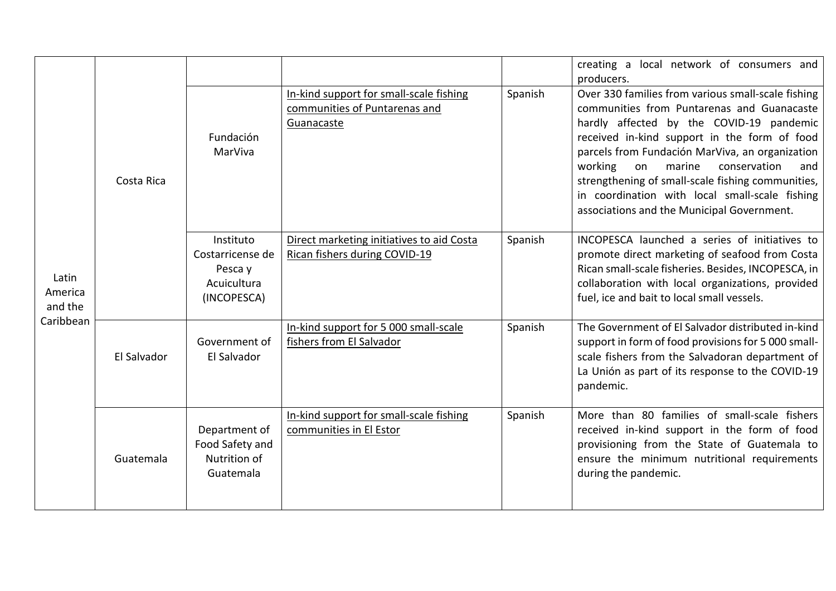| Latin<br>America<br>and the<br>Caribbean |             |                                                                        |                                                                                        |         | creating a local network of consumers and<br>producers.                                                                                                                                                                                                                                                                                                                                                                                                |
|------------------------------------------|-------------|------------------------------------------------------------------------|----------------------------------------------------------------------------------------|---------|--------------------------------------------------------------------------------------------------------------------------------------------------------------------------------------------------------------------------------------------------------------------------------------------------------------------------------------------------------------------------------------------------------------------------------------------------------|
|                                          | Costa Rica  | Fundación<br>MarViva                                                   | In-kind support for small-scale fishing<br>communities of Puntarenas and<br>Guanacaste | Spanish | Over 330 families from various small-scale fishing<br>communities from Puntarenas and Guanacaste<br>hardly affected by the COVID-19 pandemic<br>received in-kind support in the form of food<br>parcels from Fundación MarViva, an organization<br>working<br>conservation<br>on<br>marine<br>and<br>strengthening of small-scale fishing communities,<br>in coordination with local small-scale fishing<br>associations and the Municipal Government. |
|                                          |             | Instituto<br>Costarricense de<br>Pesca y<br>Acuicultura<br>(INCOPESCA) | Direct marketing initiatives to aid Costa<br>Rican fishers during COVID-19             | Spanish | INCOPESCA launched a series of initiatives to<br>promote direct marketing of seafood from Costa<br>Rican small-scale fisheries. Besides, INCOPESCA, in<br>collaboration with local organizations, provided<br>fuel, ice and bait to local small vessels.                                                                                                                                                                                               |
|                                          | El Salvador | Government of<br>El Salvador                                           | In-kind support for 5 000 small-scale<br>fishers from El Salvador                      | Spanish | The Government of El Salvador distributed in-kind<br>support in form of food provisions for 5 000 small-<br>scale fishers from the Salvadoran department of<br>La Unión as part of its response to the COVID-19<br>pandemic.                                                                                                                                                                                                                           |
|                                          | Guatemala   | Department of<br>Food Safety and<br>Nutrition of<br>Guatemala          | In-kind support for small-scale fishing<br>communities in El Estor                     | Spanish | More than 80 families of small-scale fishers<br>received in-kind support in the form of food<br>provisioning from the State of Guatemala to<br>ensure the minimum nutritional requirements<br>during the pandemic.                                                                                                                                                                                                                                     |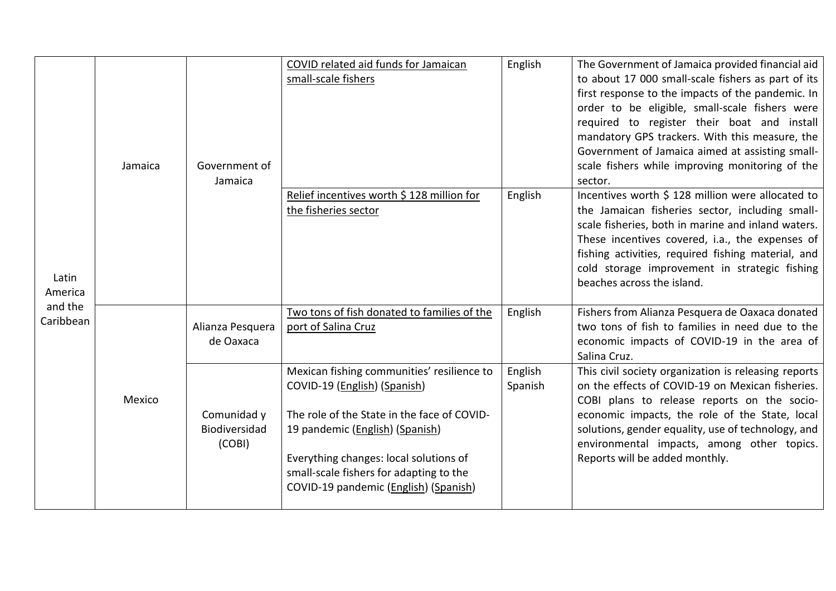| Latin<br>America<br>and the<br>Caribbean | Jamaica | Government of<br>Jamaica               | COVID related aid funds for Jamaican<br>small-scale fishers<br>Relief incentives worth \$ 128 million for<br>the fisheries sector                                                                                                                                                          | English<br>English | The Government of Jamaica provided financial aid<br>to about 17 000 small-scale fishers as part of its<br>first response to the impacts of the pandemic. In<br>order to be eligible, small-scale fishers were<br>required to register their boat and install<br>mandatory GPS trackers. With this measure, the<br>Government of Jamaica aimed at assisting small-<br>scale fishers while improving monitoring of the<br>sector.<br>Incentives worth \$ 128 million were allocated to<br>the Jamaican fisheries sector, including small-<br>scale fisheries, both in marine and inland waters.<br>These incentives covered, i.a., the expenses of<br>fishing activities, required fishing material, and<br>cold storage improvement in strategic fishing<br>beaches across the island. |
|------------------------------------------|---------|----------------------------------------|--------------------------------------------------------------------------------------------------------------------------------------------------------------------------------------------------------------------------------------------------------------------------------------------|--------------------|---------------------------------------------------------------------------------------------------------------------------------------------------------------------------------------------------------------------------------------------------------------------------------------------------------------------------------------------------------------------------------------------------------------------------------------------------------------------------------------------------------------------------------------------------------------------------------------------------------------------------------------------------------------------------------------------------------------------------------------------------------------------------------------|
|                                          |         | Alianza Pesquera<br>de Oaxaca          | Two tons of fish donated to families of the<br>port of Salina Cruz                                                                                                                                                                                                                         | English            | Fishers from Alianza Pesquera de Oaxaca donated<br>two tons of fish to families in need due to the<br>economic impacts of COVID-19 in the area of<br>Salina Cruz.                                                                                                                                                                                                                                                                                                                                                                                                                                                                                                                                                                                                                     |
|                                          | Mexico  | Comunidad y<br>Biodiversidad<br>(COBI) | Mexican fishing communities' resilience to<br>COVID-19 (English) (Spanish)<br>The role of the State in the face of COVID-<br>19 pandemic (English) (Spanish)<br>Everything changes: local solutions of<br>small-scale fishers for adapting to the<br>COVID-19 pandemic (English) (Spanish) | English<br>Spanish | This civil society organization is releasing reports<br>on the effects of COVID-19 on Mexican fisheries.<br>COBI plans to release reports on the socio-<br>economic impacts, the role of the State, local<br>solutions, gender equality, use of technology, and<br>environmental impacts, among other topics.<br>Reports will be added monthly.                                                                                                                                                                                                                                                                                                                                                                                                                                       |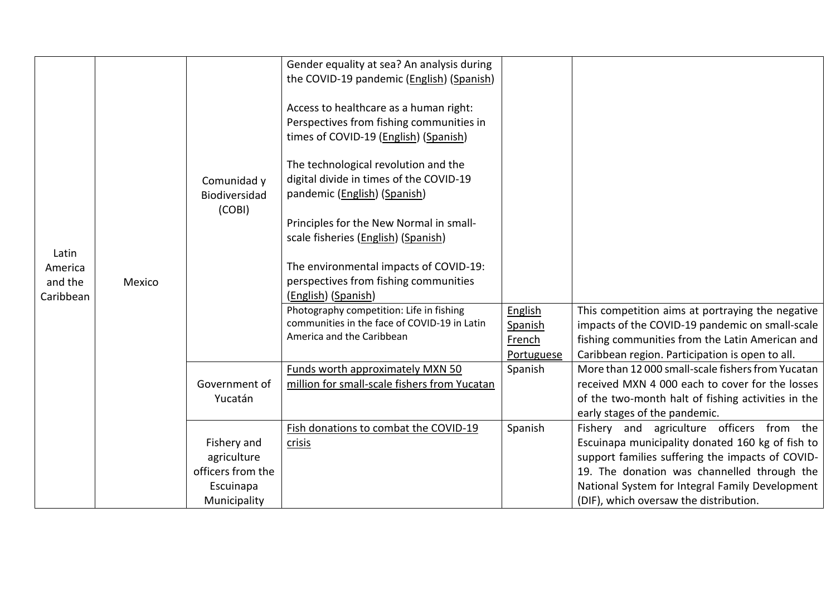|                                 |        |                                                              | Gender equality at sea? An analysis during<br>the COVID-19 pandemic (English) (Spanish)                                     |                                            |                                                                                                                                                                                                                                                     |
|---------------------------------|--------|--------------------------------------------------------------|-----------------------------------------------------------------------------------------------------------------------------|--------------------------------------------|-----------------------------------------------------------------------------------------------------------------------------------------------------------------------------------------------------------------------------------------------------|
|                                 |        |                                                              | Access to healthcare as a human right:<br>Perspectives from fishing communities in<br>times of COVID-19 (English) (Spanish) |                                            |                                                                                                                                                                                                                                                     |
|                                 |        | Comunidad y<br>Biodiversidad                                 | The technological revolution and the<br>digital divide in times of the COVID-19<br>pandemic (English) (Spanish)             |                                            |                                                                                                                                                                                                                                                     |
| Latin                           |        | (COBI)                                                       | Principles for the New Normal in small-<br>scale fisheries (English) (Spanish)                                              |                                            |                                                                                                                                                                                                                                                     |
| America<br>and the<br>Caribbean | Mexico |                                                              | The environmental impacts of COVID-19:<br>perspectives from fishing communities<br>(English) (Spanish)                      |                                            |                                                                                                                                                                                                                                                     |
|                                 |        |                                                              | Photography competition: Life in fishing<br>communities in the face of COVID-19 in Latin<br>America and the Caribbean       | English<br>Spanish<br>French<br>Portuguese | This competition aims at portraying the negative<br>impacts of the COVID-19 pandemic on small-scale<br>fishing communities from the Latin American and<br>Caribbean region. Participation is open to all.                                           |
|                                 |        | Government of<br>Yucatán                                     | <b>Funds worth approximately MXN 50</b><br>million for small-scale fishers from Yucatan                                     | Spanish                                    | More than 12 000 small-scale fishers from Yucatan<br>received MXN 4 000 each to cover for the losses<br>of the two-month halt of fishing activities in the<br>early stages of the pandemic.                                                         |
|                                 |        | Fishery and<br>agriculture<br>officers from the<br>Escuinapa | Fish donations to combat the COVID-19<br>crisis                                                                             | Spanish                                    | Fishery and agriculture officers from the<br>Escuinapa municipality donated 160 kg of fish to<br>support families suffering the impacts of COVID-<br>19. The donation was channelled through the<br>National System for Integral Family Development |
|                                 |        | Municipality                                                 |                                                                                                                             |                                            | (DIF), which oversaw the distribution.                                                                                                                                                                                                              |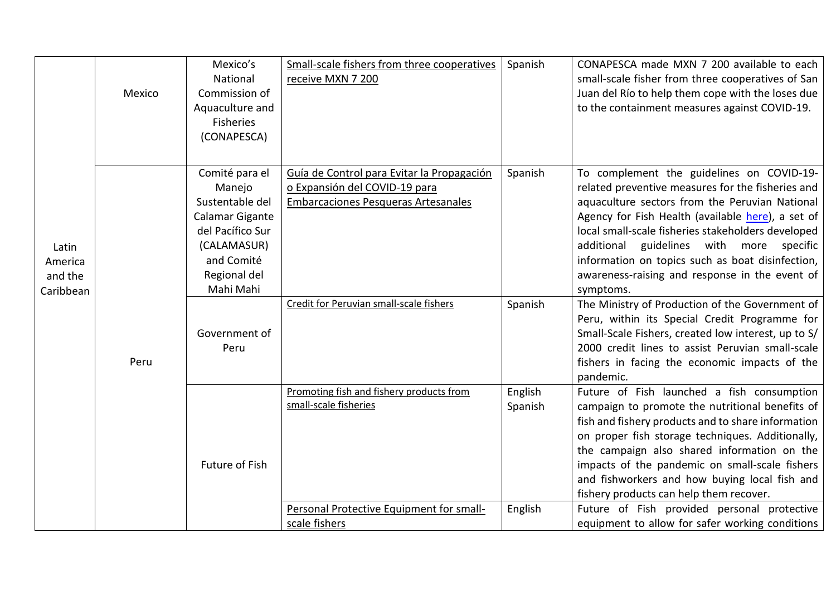|                                          | Mexico | Mexico's<br>National<br>Commission of<br>Aquaculture and<br>Fisheries<br>(CONAPESCA)                                                                                  | Small-scale fishers from three cooperatives<br>receive MXN 7 200                                                                                                     | Spanish                       | CONAPESCA made MXN 7 200 available to each<br>small-scale fisher from three cooperatives of San<br>Juan del Río to help them cope with the loses due<br>to the containment measures against COVID-19.                                                                                                                                                                                                                                                                                                                                                                                                                                                                                      |
|------------------------------------------|--------|-----------------------------------------------------------------------------------------------------------------------------------------------------------------------|----------------------------------------------------------------------------------------------------------------------------------------------------------------------|-------------------------------|--------------------------------------------------------------------------------------------------------------------------------------------------------------------------------------------------------------------------------------------------------------------------------------------------------------------------------------------------------------------------------------------------------------------------------------------------------------------------------------------------------------------------------------------------------------------------------------------------------------------------------------------------------------------------------------------|
| Latin<br>America<br>and the<br>Caribbean | Peru   | Comité para el<br>Manejo<br>Sustentable del<br>Calamar Gigante<br>del Pacífico Sur<br>(CALAMASUR)<br>and Comité<br>Regional del<br>Mahi Mahi<br>Government of<br>Peru | Guía de Control para Evitar la Propagación<br>o Expansión del COVID-19 para<br><b>Embarcaciones Pesqueras Artesanales</b><br>Credit for Peruvian small-scale fishers | Spanish<br>Spanish            | To complement the guidelines on COVID-19-<br>related preventive measures for the fisheries and<br>aquaculture sectors from the Peruvian National<br>Agency for Fish Health (available here), a set of<br>local small-scale fisheries stakeholders developed<br>additional guidelines with more specific<br>information on topics such as boat disinfection,<br>awareness-raising and response in the event of<br>symptoms.<br>The Ministry of Production of the Government of<br>Peru, within its Special Credit Programme for<br>Small-Scale Fishers, created low interest, up to S/<br>2000 credit lines to assist Peruvian small-scale<br>fishers in facing the economic impacts of the |
|                                          |        | Future of Fish                                                                                                                                                        | Promoting fish and fishery products from<br>small-scale fisheries<br>Personal Protective Equipment for small-<br>scale fishers                                       | English<br>Spanish<br>English | pandemic.<br>Future of Fish launched a fish consumption<br>campaign to promote the nutritional benefits of<br>fish and fishery products and to share information<br>on proper fish storage techniques. Additionally,<br>the campaign also shared information on the<br>impacts of the pandemic on small-scale fishers<br>and fishworkers and how buying local fish and<br>fishery products can help them recover.<br>Future of Fish provided personal protective<br>equipment to allow for safer working conditions                                                                                                                                                                        |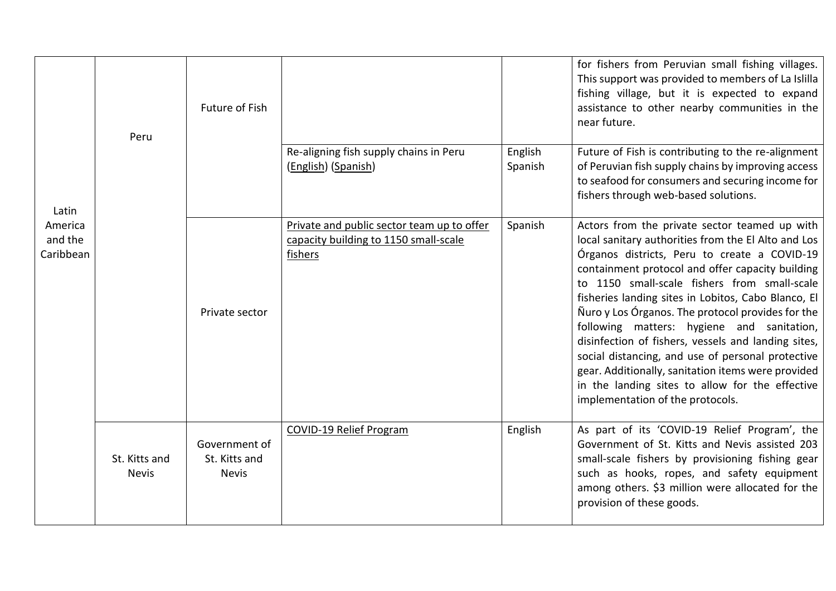| Latin<br>America<br>and the<br>Caribbean | Peru                          | Future of Fish                                 |                                                                                                |                    | for fishers from Peruvian small fishing villages.<br>This support was provided to members of La Islilla<br>fishing village, but it is expected to expand<br>assistance to other nearby communities in the<br>near future.                                                                                                                                                                                                                                                                                                                                                                                                                                                   |
|------------------------------------------|-------------------------------|------------------------------------------------|------------------------------------------------------------------------------------------------|--------------------|-----------------------------------------------------------------------------------------------------------------------------------------------------------------------------------------------------------------------------------------------------------------------------------------------------------------------------------------------------------------------------------------------------------------------------------------------------------------------------------------------------------------------------------------------------------------------------------------------------------------------------------------------------------------------------|
|                                          |                               |                                                | Re-aligning fish supply chains in Peru<br>(English) (Spanish)                                  | English<br>Spanish | Future of Fish is contributing to the re-alignment<br>of Peruvian fish supply chains by improving access<br>to seafood for consumers and securing income for<br>fishers through web-based solutions.                                                                                                                                                                                                                                                                                                                                                                                                                                                                        |
|                                          |                               | Private sector                                 | Private and public sector team up to offer<br>capacity building to 1150 small-scale<br>fishers | Spanish            | Actors from the private sector teamed up with<br>local sanitary authorities from the El Alto and Los<br>Órganos districts, Peru to create a COVID-19<br>containment protocol and offer capacity building<br>to 1150 small-scale fishers from small-scale<br>fisheries landing sites in Lobitos, Cabo Blanco, El<br>Nuro y Los Órganos. The protocol provides for the<br>following matters: hygiene and sanitation,<br>disinfection of fishers, vessels and landing sites,<br>social distancing, and use of personal protective<br>gear. Additionally, sanitation items were provided<br>in the landing sites to allow for the effective<br>implementation of the protocols. |
|                                          | St. Kitts and<br><b>Nevis</b> | Government of<br>St. Kitts and<br><b>Nevis</b> | <b>COVID-19 Relief Program</b>                                                                 | English            | As part of its 'COVID-19 Relief Program', the<br>Government of St. Kitts and Nevis assisted 203<br>small-scale fishers by provisioning fishing gear<br>such as hooks, ropes, and safety equipment<br>among others. \$3 million were allocated for the<br>provision of these goods.                                                                                                                                                                                                                                                                                                                                                                                          |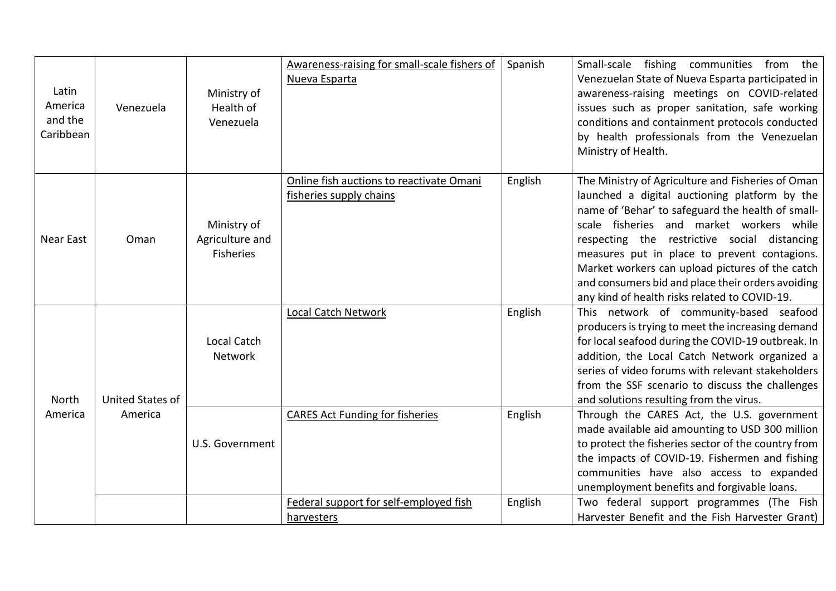| Latin<br>America<br>and the<br>Caribbean | Venezuela        | Ministry of<br>Health of<br>Venezuela              | Awareness-raising for small-scale fishers of<br>Nueva Esparta       | Spanish | Small-scale fishing communities from the<br>Venezuelan State of Nueva Esparta participated in<br>awareness-raising meetings on COVID-related<br>issues such as proper sanitation, safe working<br>conditions and containment protocols conducted<br>by health professionals from the Venezuelan<br>Ministry of Health.                                                                                                                                       |
|------------------------------------------|------------------|----------------------------------------------------|---------------------------------------------------------------------|---------|--------------------------------------------------------------------------------------------------------------------------------------------------------------------------------------------------------------------------------------------------------------------------------------------------------------------------------------------------------------------------------------------------------------------------------------------------------------|
| <b>Near East</b>                         | Oman             | Ministry of<br>Agriculture and<br><b>Fisheries</b> | Online fish auctions to reactivate Omani<br>fisheries supply chains | English | The Ministry of Agriculture and Fisheries of Oman<br>launched a digital auctioning platform by the<br>name of 'Behar' to safeguard the health of small-<br>scale fisheries and market workers while<br>respecting the restrictive social distancing<br>measures put in place to prevent contagions.<br>Market workers can upload pictures of the catch<br>and consumers bid and place their orders avoiding<br>any kind of health risks related to COVID-19. |
| North                                    | United States of | <b>Local Catch</b><br>Network                      | <b>Local Catch Network</b>                                          | English | This network of community-based seafood<br>producers is trying to meet the increasing demand<br>for local seafood during the COVID-19 outbreak. In<br>addition, the Local Catch Network organized a<br>series of video forums with relevant stakeholders<br>from the SSF scenario to discuss the challenges<br>and solutions resulting from the virus.                                                                                                       |
| America                                  | America          | U.S. Government                                    | <b>CARES Act Funding for fisheries</b>                              | English | Through the CARES Act, the U.S. government<br>made available aid amounting to USD 300 million<br>to protect the fisheries sector of the country from<br>the impacts of COVID-19. Fishermen and fishing<br>communities have also access to expanded<br>unemployment benefits and forgivable loans.                                                                                                                                                            |
|                                          |                  |                                                    | Federal support for self-employed fish<br>harvesters                | English | Two federal support programmes (The Fish<br>Harvester Benefit and the Fish Harvester Grant)                                                                                                                                                                                                                                                                                                                                                                  |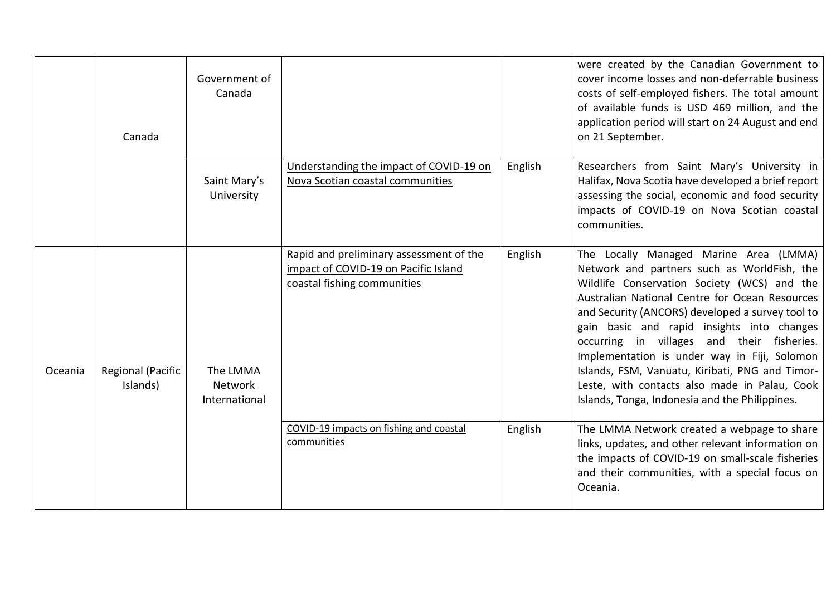|         | Canada                        | Government of<br>Canada                     |                                                                                                                |         | were created by the Canadian Government to<br>cover income losses and non-deferrable business<br>costs of self-employed fishers. The total amount<br>of available funds is USD 469 million, and the<br>application period will start on 24 August and end<br>on 21 September.                                                                                                                                                                                                                                                                |
|---------|-------------------------------|---------------------------------------------|----------------------------------------------------------------------------------------------------------------|---------|----------------------------------------------------------------------------------------------------------------------------------------------------------------------------------------------------------------------------------------------------------------------------------------------------------------------------------------------------------------------------------------------------------------------------------------------------------------------------------------------------------------------------------------------|
|         |                               | Saint Mary's<br>University                  | Understanding the impact of COVID-19 on<br>Nova Scotian coastal communities                                    | English | Researchers from Saint Mary's University in<br>Halifax, Nova Scotia have developed a brief report<br>assessing the social, economic and food security<br>impacts of COVID-19 on Nova Scotian coastal<br>communities.                                                                                                                                                                                                                                                                                                                         |
| Oceania | Regional (Pacific<br>Islands) | The LMMA<br><b>Network</b><br>International | Rapid and preliminary assessment of the<br>impact of COVID-19 on Pacific Island<br>coastal fishing communities | English | The Locally Managed Marine Area (LMMA)<br>Network and partners such as WorldFish, the<br>Wildlife Conservation Society (WCS) and the<br>Australian National Centre for Ocean Resources<br>and Security (ANCORS) developed a survey tool to<br>gain basic and rapid insights into changes<br>occurring in villages and their fisheries.<br>Implementation is under way in Fiji, Solomon<br>Islands, FSM, Vanuatu, Kiribati, PNG and Timor-<br>Leste, with contacts also made in Palau, Cook<br>Islands, Tonga, Indonesia and the Philippines. |
|         |                               |                                             | COVID-19 impacts on fishing and coastal<br>communities                                                         | English | The LMMA Network created a webpage to share<br>links, updates, and other relevant information on<br>the impacts of COVID-19 on small-scale fisheries<br>and their communities, with a special focus on<br>Oceania.                                                                                                                                                                                                                                                                                                                           |